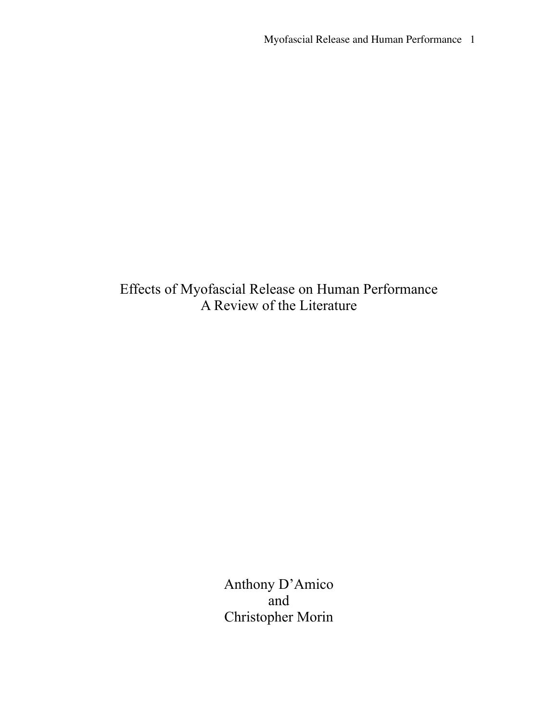Effects of Myofascial Release on Human Performance A Review of the Literature

> Anthony D'Amico and Christopher Morin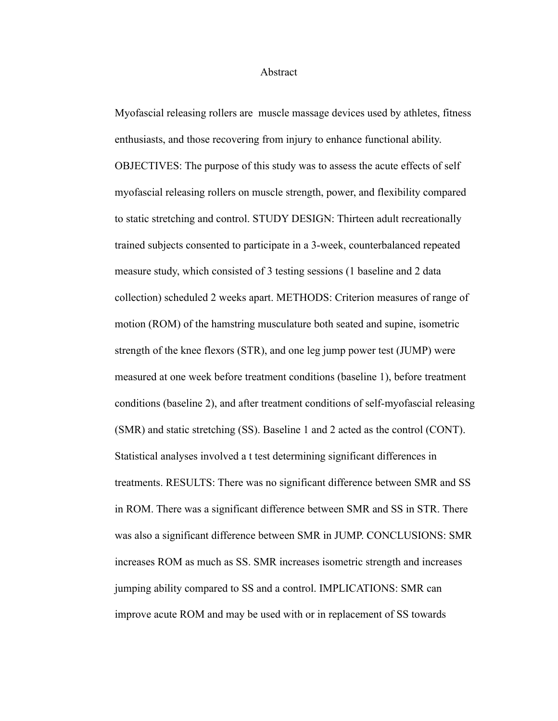#### Abstract

Myofascial releasing rollers are muscle massage devices used by athletes, fitness enthusiasts, and those recovering from injury to enhance functional ability. OBJECTIVES: The purpose of this study was to assess the acute effects of self myofascial releasing rollers on muscle strength, power, and flexibility compared to static stretching and control. STUDY DESIGN: Thirteen adult recreationally trained subjects consented to participate in a 3-week, counterbalanced repeated measure study, which consisted of 3 testing sessions (1 baseline and 2 data collection) scheduled 2 weeks apart. METHODS: Criterion measures of range of motion (ROM) of the hamstring musculature both seated and supine, isometric strength of the knee flexors (STR), and one leg jump power test (JUMP) were measured at one week before treatment conditions (baseline 1), before treatment conditions (baseline 2), and after treatment conditions of self-myofascial releasing (SMR) and static stretching (SS). Baseline 1 and 2 acted as the control (CONT). Statistical analyses involved a t test determining significant differences in treatments. RESULTS: There was no significant difference between SMR and SS in ROM. There was a significant difference between SMR and SS in STR. There was also a significant difference between SMR in JUMP. CONCLUSIONS: SMR increases ROM as much as SS. SMR increases isometric strength and increases jumping ability compared to SS and a control. IMPLICATIONS: SMR can improve acute ROM and may be used with or in replacement of SS towards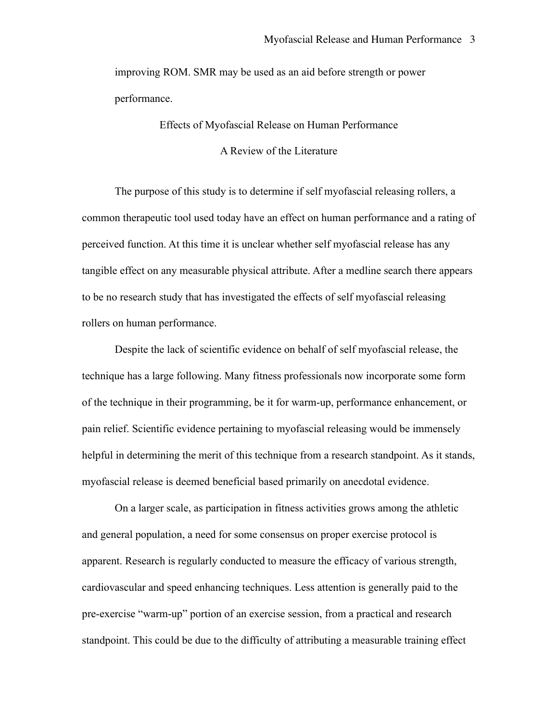improving ROM. SMR may be used as an aid before strength or power performance.

Effects of Myofascial Release on Human Performance

A Review of the Literature

The purpose of this study is to determine if self myofascial releasing rollers, a common therapeutic tool used today have an effect on human performance and a rating of perceived function. At this time it is unclear whether self myofascial release has any tangible effect on any measurable physical attribute. After a medline search there appears to be no research study that has investigated the effects of self myofascial releasing rollers on human performance.

Despite the lack of scientific evidence on behalf of self myofascial release, the technique has a large following. Many fitness professionals now incorporate some form of the technique in their programming, be it for warm-up, performance enhancement, or pain relief. Scientific evidence pertaining to myofascial releasing would be immensely helpful in determining the merit of this technique from a research standpoint. As it stands, myofascial release is deemed beneficial based primarily on anecdotal evidence.

On a larger scale, as participation in fitness activities grows among the athletic and general population, a need for some consensus on proper exercise protocol is apparent. Research is regularly conducted to measure the efficacy of various strength, cardiovascular and speed enhancing techniques. Less attention is generally paid to the pre-exercise "warm-up" portion of an exercise session, from a practical and research standpoint. This could be due to the difficulty of attributing a measurable training effect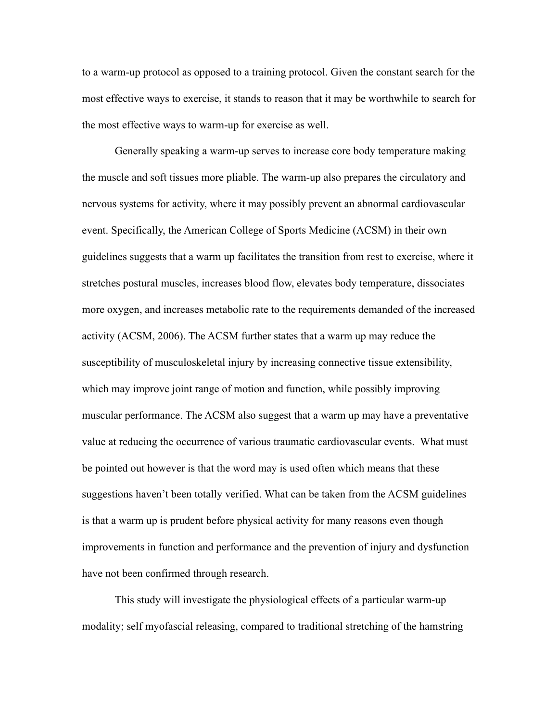to a warm-up protocol as opposed to a training protocol. Given the constant search for the most effective ways to exercise, it stands to reason that it may be worthwhile to search for the most effective ways to warm-up for exercise as well.

 Generally speaking a warm-up serves to increase core body temperature making the muscle and soft tissues more pliable. The warm-up also prepares the circulatory and nervous systems for activity, where it may possibly prevent an abnormal cardiovascular event. Specifically, the American College of Sports Medicine (ACSM) in their own guidelines suggests that a warm up facilitates the transition from rest to exercise, where it stretches postural muscles, increases blood flow, elevates body temperature, dissociates more oxygen, and increases metabolic rate to the requirements demanded of the increased activity (ACSM, 2006). The ACSM further states that a warm up may reduce the susceptibility of musculoskeletal injury by increasing connective tissue extensibility, which may improve joint range of motion and function, while possibly improving muscular performance. The ACSM also suggest that a warm up may have a preventative value at reducing the occurrence of various traumatic cardiovascular events. What must be pointed out however is that the word may is used often which means that these suggestions haven't been totally verified. What can be taken from the ACSM guidelines is that a warm up is prudent before physical activity for many reasons even though improvements in function and performance and the prevention of injury and dysfunction have not been confirmed through research.

This study will investigate the physiological effects of a particular warm-up modality; self myofascial releasing, compared to traditional stretching of the hamstring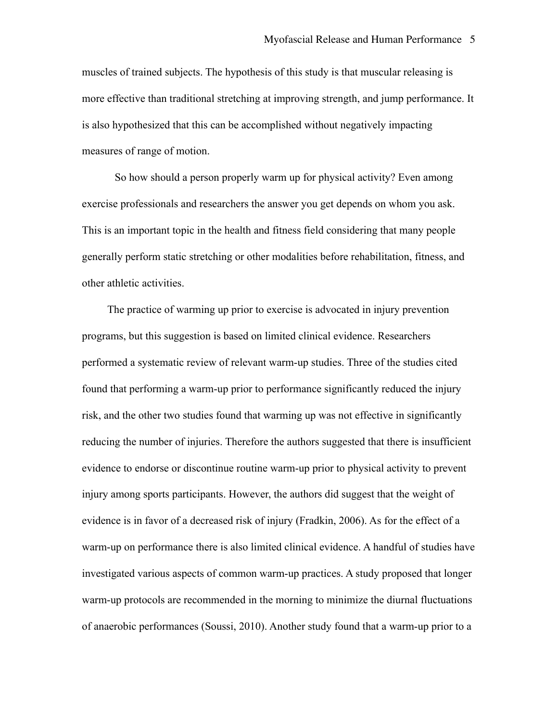muscles of trained subjects. The hypothesis of this study is that muscular releasing is more effective than traditional stretching at improving strength, and jump performance. It is also hypothesized that this can be accomplished without negatively impacting measures of range of motion.

So how should a person properly warm up for physical activity? Even among exercise professionals and researchers the answer you get depends on whom you ask. This is an important topic in the health and fitness field considering that many people generally perform static stretching or other modalities before rehabilitation, fitness, and other athletic activities.

 The practice of warming up prior to exercise is advocated in injury prevention programs, but this suggestion is based on limited clinical evidence. Researchers performed a systematic review of relevant warm-up studies. Three of the studies cited found that performing a warm-up prior to performance significantly reduced the injury risk, and the other two studies found that warming up was not effective in significantly reducing the number of injuries. Therefore the authors suggested that there is insufficient evidence to endorse or discontinue routine warm-up prior to physical activity to prevent injury among sports participants. However, the authors did suggest that the weight of evidence is in favor of a decreased risk of injury (Fradkin, 2006). As for the effect of a warm-up on performance there is also limited clinical evidence. A handful of studies have investigated various aspects of common warm-up practices. A study proposed that longer warm-up protocols are recommended in the morning to minimize the diurnal fluctuations of anaerobic performances (Soussi, 2010). Another study found that a warm-up prior to a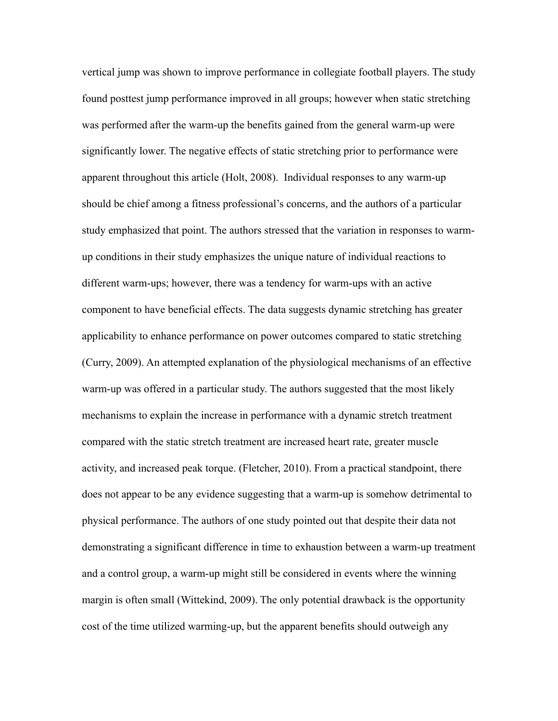vertical jump was shown to improve performance in collegiate football players. The study found posttest jump performance improved in all groups; however when static stretching was performed after the warm-up the benefits gained from the general warm-up were significantly lower. The negative effects of static stretching prior to performance were apparent throughout this article (Holt, 2008). Individual responses to any warm-up should be chief among a fitness professional's concerns, and the authors of a particular study emphasized that point. The authors stressed that the variation in responses to warmup conditions in their study emphasizes the unique nature of individual reactions to different warm-ups; however, there was a tendency for warm-ups with an active component to have beneficial effects. The data suggests dynamic stretching has greater applicability to enhance performance on power outcomes compared to static stretching (Curry, 2009). An attempted explanation of the physiological mechanisms of an effective warm-up was offered in a particular study. The authors suggested that the most likely mechanisms to explain the increase in performance with a dynamic stretch treatment compared with the static stretch treatment are increased heart rate, greater muscle activity, and increased peak torque. (Fletcher, 2010). From a practical standpoint, there does not appear to be any evidence suggesting that a warm-up is somehow detrimental to physical performance. The authors of one study pointed out that despite their data not demonstrating a significant difference in time to exhaustion between a warm-up treatment and a control group, a warm-up might still be considered in events where the winning margin is often small (Wittekind, 2009). The only potential drawback is the opportunity cost of the time utilized warming-up, but the apparent benefits should outweigh any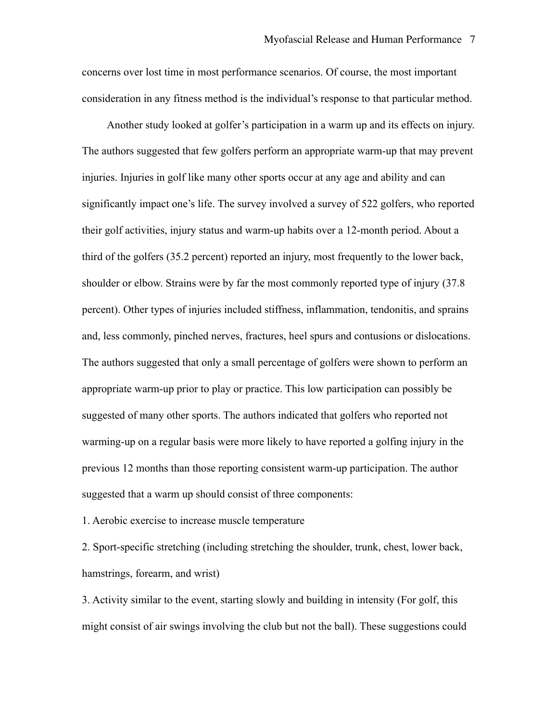concerns over lost time in most performance scenarios. Of course, the most important consideration in any fitness method is the individual's response to that particular method.

 Another study looked at golfer's participation in a warm up and its effects on injury. The authors suggested that few golfers perform an appropriate warm-up that may prevent injuries. Injuries in golf like many other sports occur at any age and ability and can significantly impact one's life. The survey involved a survey of 522 golfers, who reported their golf activities, injury status and warm-up habits over a 12-month period. About a third of the golfers (35.2 percent) reported an injury, most frequently to the lower back, shoulder or elbow. Strains were by far the most commonly reported type of injury (37.8 percent). Other types of injuries included stiffness, inflammation, tendonitis, and sprains and, less commonly, pinched nerves, fractures, heel spurs and contusions or dislocations. The authors suggested that only a small percentage of golfers were shown to perform an appropriate warm-up prior to play or practice. This low participation can possibly be suggested of many other sports. The authors indicated that golfers who reported not warming-up on a regular basis were more likely to have reported a golfing injury in the previous 12 months than those reporting consistent warm-up participation. The author suggested that a warm up should consist of three components:

1. Aerobic exercise to increase muscle temperature

2. Sport-specific stretching (including stretching the shoulder, trunk, chest, lower back, hamstrings, forearm, and wrist)

3. Activity similar to the event, starting slowly and building in intensity (For golf, this might consist of air swings involving the club but not the ball). These suggestions could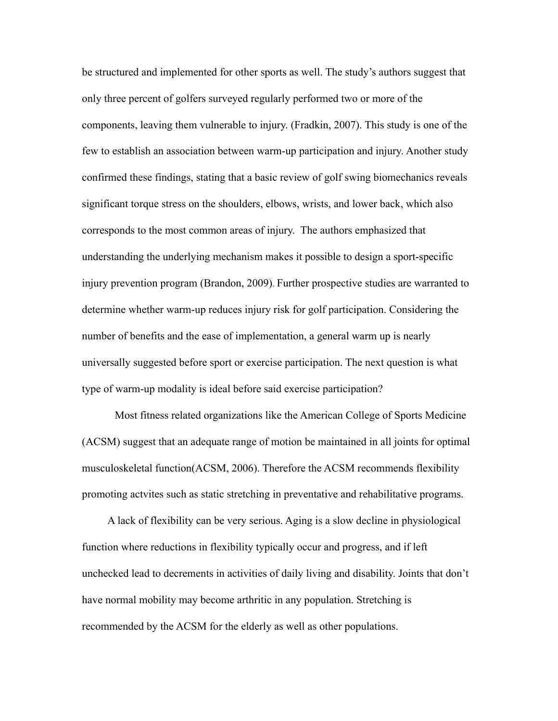be structured and implemented for other sports as well. The study's authors suggest that only three percent of golfers surveyed regularly performed two or more of the components, leaving them vulnerable to injury. (Fradkin, 2007). This study is one of the few to establish an association between warm-up participation and injury. Another study confirmed these findings, stating that a basic review of golf swing biomechanics reveals significant torque stress on the shoulders, elbows, wrists, and lower back, which also corresponds to the most common areas of injury. The authors emphasized that understanding the underlying mechanism makes it possible to design a sport-specific injury prevention program (Brandon, 2009). Further prospective studies are warranted to determine whether warm-up reduces injury risk for golf participation. Considering the number of benefits and the ease of implementation, a general warm up is nearly universally suggested before sport or exercise participation. The next question is what type of warm-up modality is ideal before said exercise participation?

Most fitness related organizations like the American College of Sports Medicine (ACSM) suggest that an adequate range of motion be maintained in all joints for optimal musculoskeletal function(ACSM, 2006). Therefore the ACSM recommends flexibility promoting actvites such as static stretching in preventative and rehabilitative programs.

A lack of flexibility can be very serious. Aging is a slow decline in physiological function where reductions in flexibility typically occur and progress, and if left unchecked lead to decrements in activities of daily living and disability. Joints that don't have normal mobility may become arthritic in any population. Stretching is recommended by the ACSM for the elderly as well as other populations.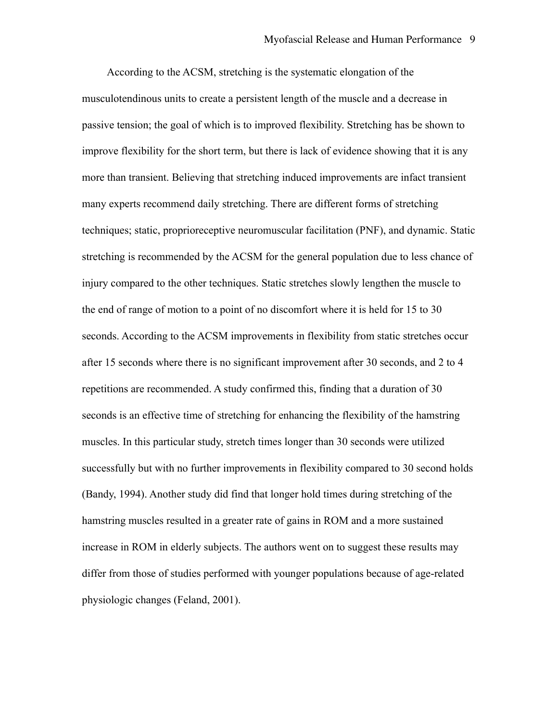According to the ACSM, stretching is the systematic elongation of the musculotendinous units to create a persistent length of the muscle and a decrease in passive tension; the goal of which is to improved flexibility. Stretching has be shown to improve flexibility for the short term, but there is lack of evidence showing that it is any more than transient. Believing that stretching induced improvements are infact transient many experts recommend daily stretching. There are different forms of stretching techniques; static, proprioreceptive neuromuscular facilitation (PNF), and dynamic. Static stretching is recommended by the ACSM for the general population due to less chance of injury compared to the other techniques. Static stretches slowly lengthen the muscle to the end of range of motion to a point of no discomfort where it is held for 15 to 30 seconds. According to the ACSM improvements in flexibility from static stretches occur after 15 seconds where there is no significant improvement after 30 seconds, and 2 to 4 repetitions are recommended. A study confirmed this, finding that a duration of 30 seconds is an effective time of stretching for enhancing the flexibility of the hamstring muscles. In this particular study, stretch times longer than 30 seconds were utilized successfully but with no further improvements in flexibility compared to 30 second holds (Bandy, 1994). Another study did find that longer hold times during stretching of the hamstring muscles resulted in a greater rate of gains in ROM and a more sustained increase in ROM in elderly subjects. The authors went on to suggest these results may differ from those of studies performed with younger populations because of age-related physiologic changes (Feland, 2001).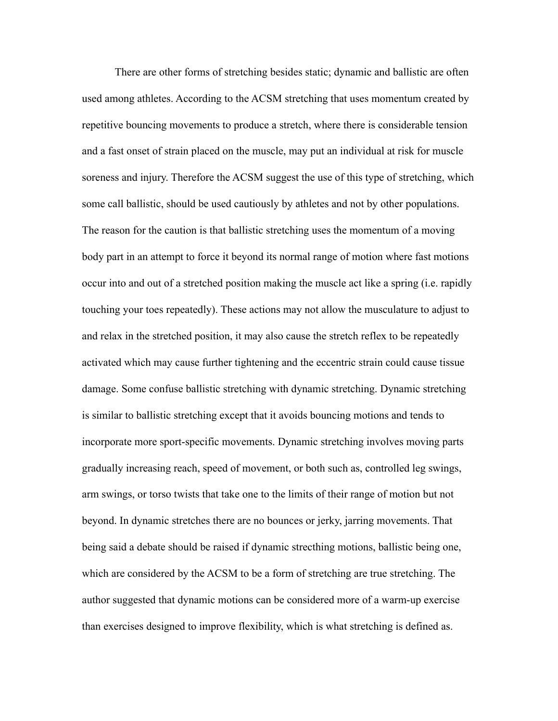There are other forms of stretching besides static; dynamic and ballistic are often used among athletes. According to the ACSM stretching that uses momentum created by repetitive bouncing movements to produce a stretch, where there is considerable tension and a fast onset of strain placed on the muscle, may put an individual at risk for muscle soreness and injury. Therefore the ACSM suggest the use of this type of stretching, which some call ballistic, should be used cautiously by athletes and not by other populations. The reason for the caution is that ballistic stretching uses the momentum of a moving body part in an attempt to force it beyond its normal range of motion where fast motions occur into and out of a stretched position making the muscle act like a spring (i.e. rapidly touching your toes repeatedly). These actions may not allow the musculature to adjust to and relax in the stretched position, it may also cause the stretch reflex to be repeatedly activated which may cause further tightening and the eccentric strain could cause tissue damage. Some confuse ballistic stretching with dynamic stretching. Dynamic stretching is similar to ballistic stretching except that it avoids bouncing motions and tends to incorporate more sport-specific movements. Dynamic stretching involves moving parts gradually increasing reach, speed of movement, or both such as, controlled leg swings, arm swings, or torso twists that take one to the limits of their range of motion but not beyond. In dynamic stretches there are no bounces or jerky, jarring movements. That being said a debate should be raised if dynamic strecthing motions, ballistic being one, which are considered by the ACSM to be a form of stretching are true stretching. The author suggested that dynamic motions can be considered more of a warm-up exercise than exercises designed to improve flexibility, which is what stretching is defined as.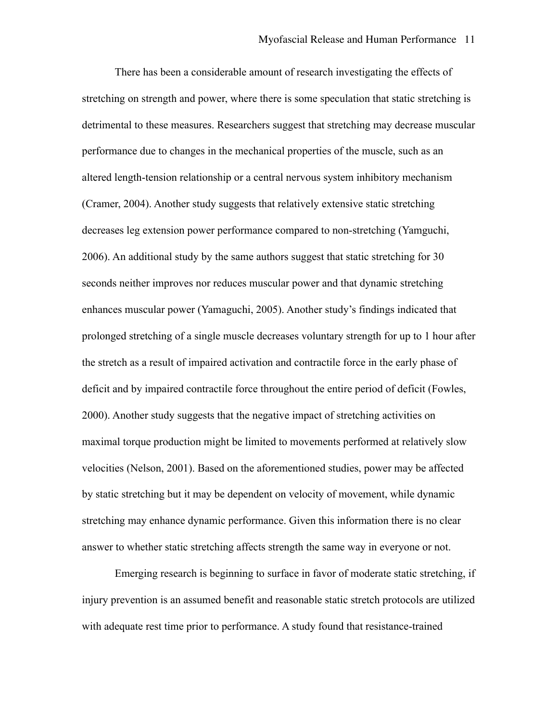There has been a considerable amount of research investigating the effects of stretching on strength and power, where there is some speculation that static stretching is detrimental to these measures. Researchers suggest that stretching may decrease muscular performance due to changes in the mechanical properties of the muscle, such as an altered length-tension relationship or a central nervous system inhibitory mechanism (Cramer, 2004). Another study suggests that relatively extensive static stretching decreases leg extension power performance compared to non-stretching (Yamguchi, 2006). An additional study by the same authors suggest that static stretching for 30 seconds neither improves nor reduces muscular power and that dynamic stretching enhances muscular power (Yamaguchi, 2005). Another study's findings indicated that prolonged stretching of a single muscle decreases voluntary strength for up to 1 hour after the stretch as a result of impaired activation and contractile force in the early phase of deficit and by impaired contractile force throughout the entire period of deficit (Fowles, 2000). Another study suggests that the negative impact of stretching activities on maximal torque production might be limited to movements performed at relatively slow velocities (Nelson, 2001). Based on the aforementioned studies, power may be affected by static stretching but it may be dependent on velocity of movement, while dynamic stretching may enhance dynamic performance. Given this information there is no clear answer to whether static stretching affects strength the same way in everyone or not.

Emerging research is beginning to surface in favor of moderate static stretching, if injury prevention is an assumed benefit and reasonable static stretch protocols are utilized with adequate rest time prior to performance. A study found that resistance-trained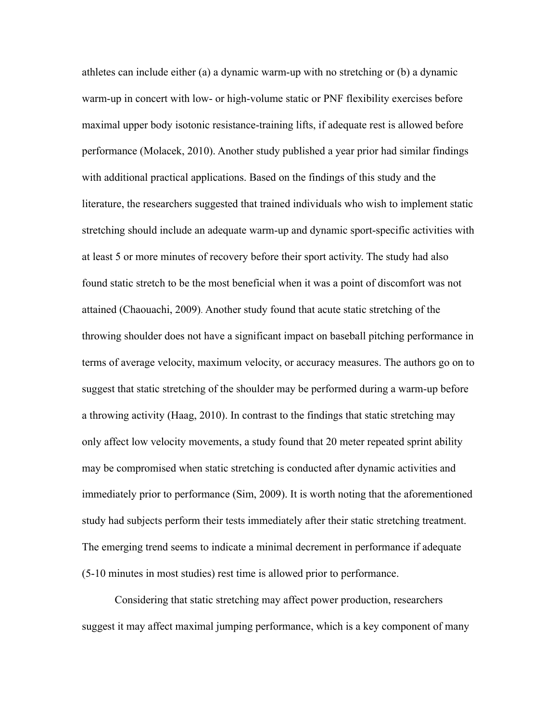athletes can include either (a) a dynamic warm-up with no stretching or (b) a dynamic warm-up in concert with low- or high-volume static or PNF flexibility exercises before maximal upper body isotonic resistance-training lifts, if adequate rest is allowed before performance (Molacek, 2010). Another study published a year prior had similar findings with additional practical applications. Based on the findings of this study and the literature, the researchers suggested that trained individuals who wish to implement static stretching should include an adequate warm-up and dynamic sport-specific activities with at least 5 or more minutes of recovery before their sport activity. The study had also found static stretch to be the most beneficial when it was a point of discomfort was not attained (Chaouachi, 2009). Another study found that acute static stretching of the throwing shoulder does not have a significant impact on baseball pitching performance in terms of average velocity, maximum velocity, or accuracy measures. The authors go on to suggest that static stretching of the shoulder may be performed during a warm-up before a throwing activity (Haag, 2010). In contrast to the findings that static stretching may only affect low velocity movements, a study found that 20 meter repeated sprint ability may be compromised when static stretching is conducted after dynamic activities and immediately prior to performance (Sim, 2009). It is worth noting that the aforementioned study had subjects perform their tests immediately after their static stretching treatment. The emerging trend seems to indicate a minimal decrement in performance if adequate (5-10 minutes in most studies) rest time is allowed prior to performance.

Considering that static stretching may affect power production, researchers suggest it may affect maximal jumping performance, which is a key component of many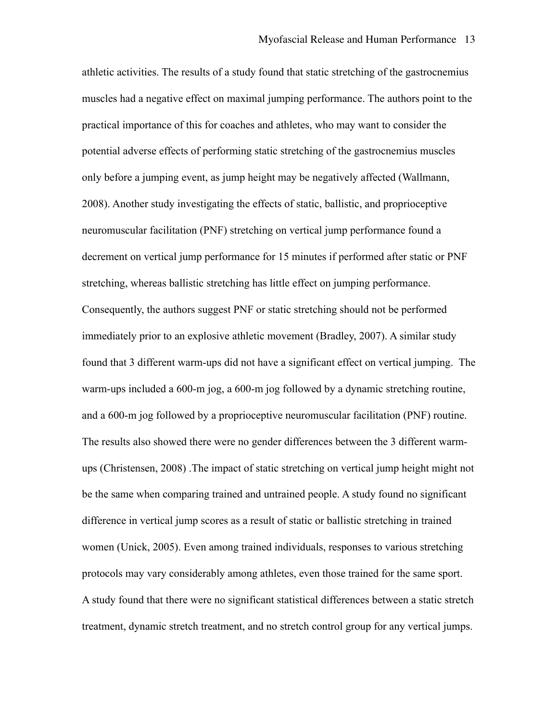athletic activities. The results of a study found that static stretching of the gastrocnemius muscles had a negative effect on maximal jumping performance. The authors point to the practical importance of this for coaches and athletes, who may want to consider the potential adverse effects of performing static stretching of the gastrocnemius muscles only before a jumping event, as jump height may be negatively affected (Wallmann, 2008). Another study investigating the effects of static, ballistic, and proprioceptive neuromuscular facilitation (PNF) stretching on vertical jump performance found a decrement on vertical jump performance for 15 minutes if performed after static or PNF stretching, whereas ballistic stretching has little effect on jumping performance. Consequently, the authors suggest PNF or static stretching should not be performed immediately prior to an explosive athletic movement (Bradley, 2007). A similar study found that 3 different warm-ups did not have a significant effect on vertical jumping. The warm-ups included a 600-m jog, a 600-m jog followed by a dynamic stretching routine, and a 600-m jog followed by a proprioceptive neuromuscular facilitation (PNF) routine. The results also showed there were no gender differences between the 3 different warmups (Christensen, 2008) .The impact of static stretching on vertical jump height might not be the same when comparing trained and untrained people. A study found no significant difference in vertical jump scores as a result of static or ballistic stretching in trained women (Unick, 2005). Even among trained individuals, responses to various stretching protocols may vary considerably among athletes, even those trained for the same sport. A study found that there were no significant statistical differences between a static stretch treatment, dynamic stretch treatment, and no stretch control group for any vertical jumps.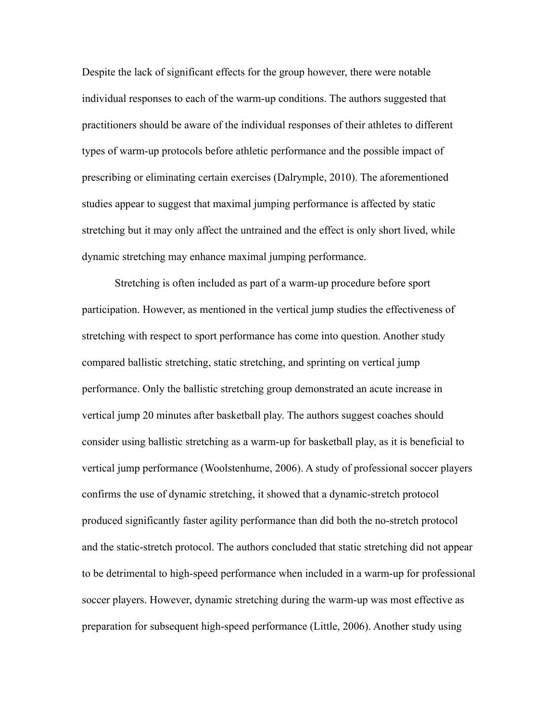Despite the lack of significant effects for the group however, there were notable individual responses to each of the warm-up conditions. The authors suggested that practitioners should be aware of the individual responses of their athletes to different types of warm-up protocols before athletic performance and the possible impact of prescribing or eliminating certain exercises (Dalrymple, 2010). The aforementioned studies appear to suggest that maximal jumping performance is affected by static stretching but it may only affect the untrained and the effect is only short lived, while dynamic stretching may enhance maximal jumping performance.

Stretching is often included as part of a warm-up procedure before sport participation. However, as mentioned in the vertical jump studies the effectiveness of stretching with respect to sport performance has come into question. Another study compared ballistic stretching, static stretching, and sprinting on vertical jump performance. Only the ballistic stretching group demonstrated an acute increase in vertical jump 20 minutes after basketball play. The authors suggest coaches should consider using ballistic stretching as a warm-up for basketball play, as it is beneficial to vertical jump performance (Woolstenhume, 2006). A study of professional soccer players confirms the use of dynamic stretching, it showed that a dynamic-stretch protocol produced significantly faster agility performance than did both the no-stretch protocol and the static-stretch protocol. The authors concluded that static stretching did not appear to be detrimental to high-speed performance when included in a warm-up for professional soccer players. However, dynamic stretching during the warm-up was most effective as preparation for subsequent high-speed performance (Little, 2006). Another study using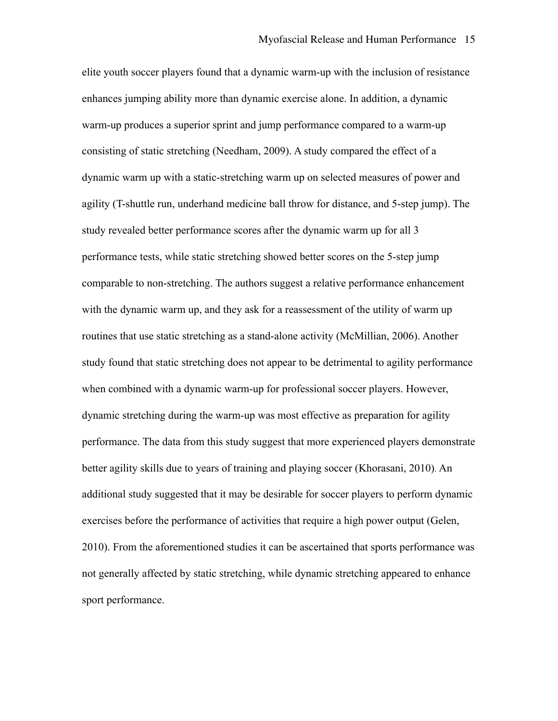elite youth soccer players found that a dynamic warm-up with the inclusion of resistance enhances jumping ability more than dynamic exercise alone. In addition, a dynamic warm-up produces a superior sprint and jump performance compared to a warm-up consisting of static stretching (Needham, 2009). A study compared the effect of a dynamic warm up with a static-stretching warm up on selected measures of power and agility (T-shuttle run, underhand medicine ball throw for distance, and 5-step jump). The study revealed better performance scores after the dynamic warm up for all 3 performance tests, while static stretching showed better scores on the 5-step jump comparable to non-stretching. The authors suggest a relative performance enhancement with the dynamic warm up, and they ask for a reassessment of the utility of warm up routines that use static stretching as a stand-alone activity (McMillian, 2006). Another study found that static stretching does not appear to be detrimental to agility performance when combined with a dynamic warm-up for professional soccer players. However, dynamic stretching during the warm-up was most effective as preparation for agility performance. The data from this study suggest that more experienced players demonstrate better agility skills due to years of training and playing soccer (Khorasani, 2010). An additional study suggested that it may be desirable for soccer players to perform dynamic exercises before the performance of activities that require a high power output (Gelen, 2010). From the aforementioned studies it can be ascertained that sports performance was not generally affected by static stretching, while dynamic stretching appeared to enhance sport performance.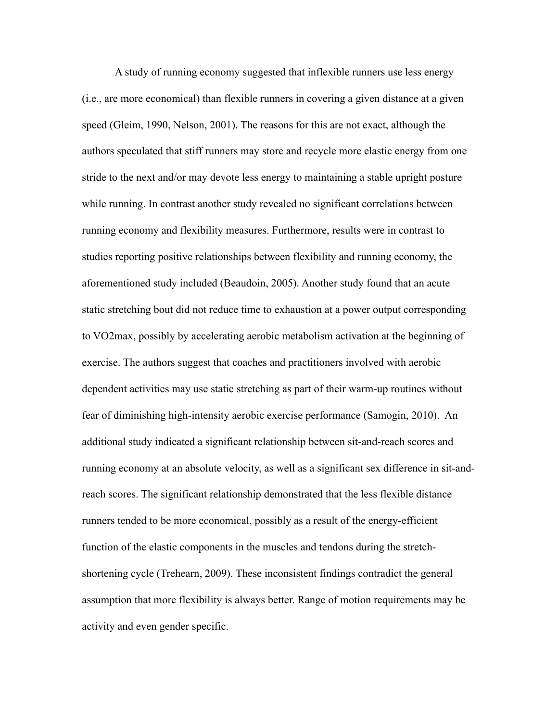A study of running economy suggested that inflexible runners use less energy (i.e., are more economical) than flexible runners in covering a given distance at a given speed (Gleim, 1990, Nelson, 2001). The reasons for this are not exact, although the authors speculated that stiff runners may store and recycle more elastic energy from one stride to the next and/or may devote less energy to maintaining a stable upright posture while running. In contrast another study revealed no significant correlations between running economy and flexibility measures. Furthermore, results were in contrast to studies reporting positive relationships between flexibility and running economy, the aforementioned study included (Beaudoin, 2005). Another study found that an acute static stretching bout did not reduce time to exhaustion at a power output corresponding to VO2max, possibly by accelerating aerobic metabolism activation at the beginning of exercise. The authors suggest that coaches and practitioners involved with aerobic dependent activities may use static stretching as part of their warm-up routines without fear of diminishing high-intensity aerobic exercise performance (Samogin, 2010). An additional study indicated a significant relationship between sit-and-reach scores and running economy at an absolute velocity, as well as a significant sex difference in sit-andreach scores. The significant relationship demonstrated that the less flexible distance runners tended to be more economical, possibly as a result of the energy-efficient function of the elastic components in the muscles and tendons during the stretchshortening cycle (Trehearn, 2009). These inconsistent findings contradict the general assumption that more flexibility is always better. Range of motion requirements may be activity and even gender specific.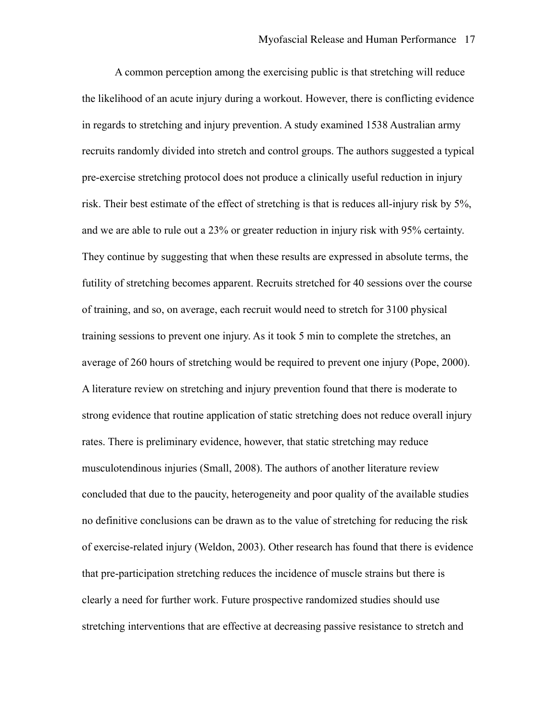A common perception among the exercising public is that stretching will reduce the likelihood of an acute injury during a workout. However, there is conflicting evidence in regards to stretching and injury prevention. A study examined 1538 Australian army recruits randomly divided into stretch and control groups. The authors suggested a typical pre-exercise stretching protocol does not produce a clinically useful reduction in injury risk. Their best estimate of the effect of stretching is that is reduces all-injury risk by 5%, and we are able to rule out a 23% or greater reduction in injury risk with 95% certainty. They continue by suggesting that when these results are expressed in absolute terms, the futility of stretching becomes apparent. Recruits stretched for 40 sessions over the course of training, and so, on average, each recruit would need to stretch for 3100 physical training sessions to prevent one injury. As it took 5 min to complete the stretches, an average of 260 hours of stretching would be required to prevent one injury (Pope, 2000). A literature review on stretching and injury prevention found that there is moderate to strong evidence that routine application of static stretching does not reduce overall injury rates. There is preliminary evidence, however, that static stretching may reduce musculotendinous injuries (Small, 2008). The authors of another literature review concluded that due to the paucity, heterogeneity and poor quality of the available studies no definitive conclusions can be drawn as to the value of stretching for reducing the risk of exercise-related injury (Weldon, 2003). Other research has found that there is evidence that pre-participation stretching reduces the incidence of muscle strains but there is clearly a need for further work. Future prospective randomized studies should use stretching interventions that are effective at decreasing passive resistance to stretch and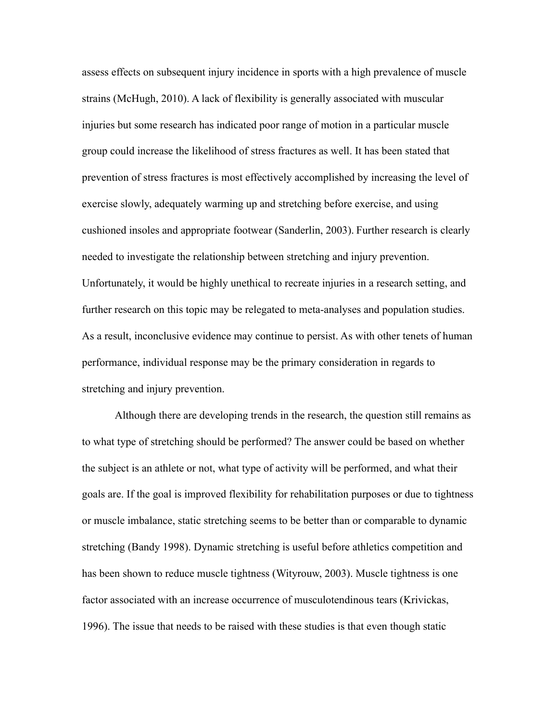assess effects on subsequent injury incidence in sports with a high prevalence of muscle strains (McHugh, 2010). A lack of flexibility is generally associated with muscular injuries but some research has indicated poor range of motion in a particular muscle group could increase the likelihood of stress fractures as well. It has been stated that prevention of stress fractures is most effectively accomplished by increasing the level of exercise slowly, adequately warming up and stretching before exercise, and using cushioned insoles and appropriate footwear (Sanderlin, 2003). Further research is clearly needed to investigate the relationship between stretching and injury prevention. Unfortunately, it would be highly unethical to recreate injuries in a research setting, and further research on this topic may be relegated to meta-analyses and population studies. As a result, inconclusive evidence may continue to persist. As with other tenets of human performance, individual response may be the primary consideration in regards to stretching and injury prevention.

Although there are developing trends in the research, the question still remains as to what type of stretching should be performed? The answer could be based on whether the subject is an athlete or not, what type of activity will be performed, and what their goals are. If the goal is improved flexibility for rehabilitation purposes or due to tightness or muscle imbalance, static stretching seems to be better than or comparable to dynamic stretching (Bandy 1998). Dynamic stretching is useful before athletics competition and has been shown to reduce muscle tightness (Wityrouw, 2003). Muscle tightness is one factor associated with an increase occurrence of musculotendinous tears (Krivickas, 1996). The issue that needs to be raised with these studies is that even though static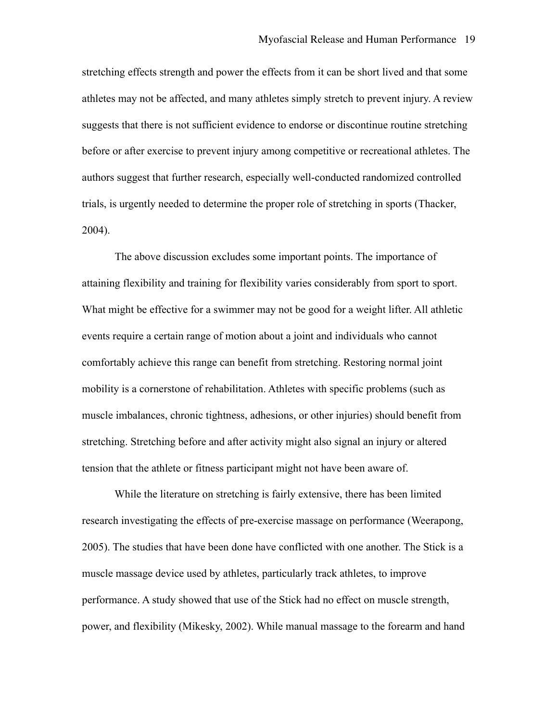stretching effects strength and power the effects from it can be short lived and that some athletes may not be affected, and many athletes simply stretch to prevent injury. A review suggests that there is not sufficient evidence to endorse or discontinue routine stretching before or after exercise to prevent injury among competitive or recreational athletes. The authors suggest that further research, especially well-conducted randomized controlled trials, is urgently needed to determine the proper role of stretching in sports (Thacker, 2004).

The above discussion excludes some important points. The importance of attaining flexibility and training for flexibility varies considerably from sport to sport. What might be effective for a swimmer may not be good for a weight lifter. All athletic events require a certain range of motion about a joint and individuals who cannot comfortably achieve this range can benefit from stretching. Restoring normal joint mobility is a cornerstone of rehabilitation. Athletes with specific problems (such as muscle imbalances, chronic tightness, adhesions, or other injuries) should benefit from stretching. Stretching before and after activity might also signal an injury or altered tension that the athlete or fitness participant might not have been aware of.

 While the literature on stretching is fairly extensive, there has been limited research investigating the effects of pre-exercise massage on performance (Weerapong, 2005). The studies that have been done have conflicted with one another. The Stick is a muscle massage device used by athletes, particularly track athletes, to improve performance. A study showed that use of the Stick had no effect on muscle strength, power, and flexibility (Mikesky, 2002). While manual massage to the forearm and hand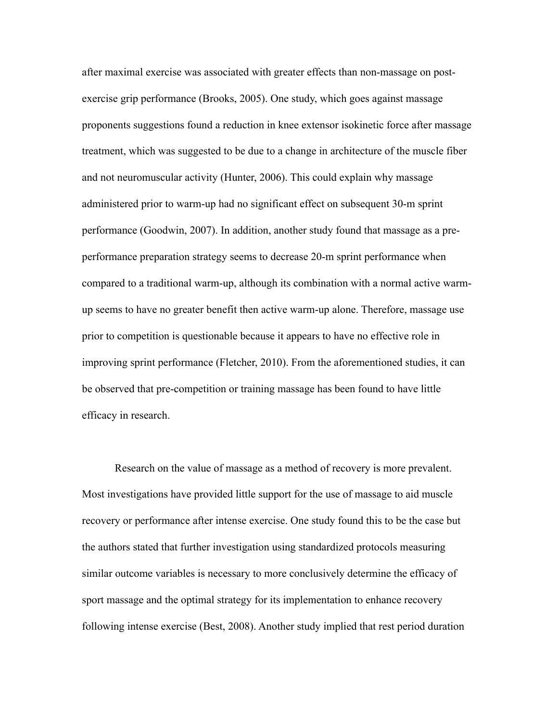after maximal exercise was associated with greater effects than non-massage on postexercise grip performance (Brooks, 2005). One study, which goes against massage proponents suggestions found a reduction in knee extensor isokinetic force after massage treatment, which was suggested to be due to a change in architecture of the muscle fiber and not neuromuscular activity (Hunter, 2006). This could explain why massage administered prior to warm-up had no significant effect on subsequent 30-m sprint performance (Goodwin, 2007). In addition, another study found that massage as a preperformance preparation strategy seems to decrease 20-m sprint performance when compared to a traditional warm-up, although its combination with a normal active warmup seems to have no greater benefit then active warm-up alone. Therefore, massage use prior to competition is questionable because it appears to have no effective role in improving sprint performance (Fletcher, 2010). From the aforementioned studies, it can be observed that pre-competition or training massage has been found to have little efficacy in research.

Research on the value of massage as a method of recovery is more prevalent. Most investigations have provided little support for the use of massage to aid muscle recovery or performance after intense exercise. One study found this to be the case but the authors stated that further investigation using standardized protocols measuring similar outcome variables is necessary to more conclusively determine the efficacy of sport massage and the optimal strategy for its implementation to enhance recovery following intense exercise (Best, 2008). Another study implied that rest period duration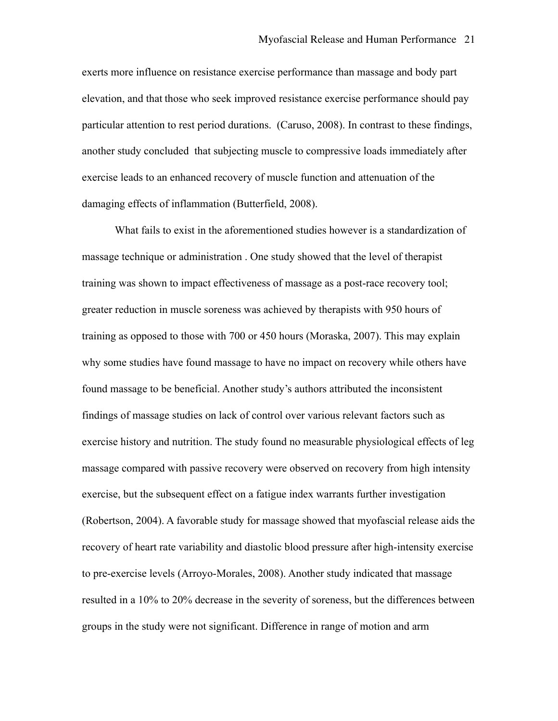exerts more influence on resistance exercise performance than massage and body part elevation, and that those who seek improved resistance exercise performance should pay particular attention to rest period durations. (Caruso, 2008). In contrast to these findings, another study concluded that subjecting muscle to compressive loads immediately after exercise leads to an enhanced recovery of muscle function and attenuation of the damaging effects of inflammation (Butterfield, 2008).

What fails to exist in the aforementioned studies however is a standardization of massage technique or administration . One study showed that the level of therapist training was shown to impact effectiveness of massage as a post-race recovery tool; greater reduction in muscle soreness was achieved by therapists with 950 hours of training as opposed to those with 700 or 450 hours (Moraska, 2007). This may explain why some studies have found massage to have no impact on recovery while others have found massage to be beneficial. Another study's authors attributed the inconsistent findings of massage studies on lack of control over various relevant factors such as exercise history and nutrition. The study found no measurable physiological effects of leg massage compared with passive recovery were observed on recovery from high intensity exercise, but the subsequent effect on a fatigue index warrants further investigation (Robertson, 2004). A favorable study for massage showed that myofascial release aids the recovery of heart rate variability and diastolic blood pressure after high-intensity exercise to pre-exercise levels (Arroyo-Morales, 2008). Another study indicated that massage resulted in a 10% to 20% decrease in the severity of soreness, but the differences between groups in the study were not significant. Difference in range of motion and arm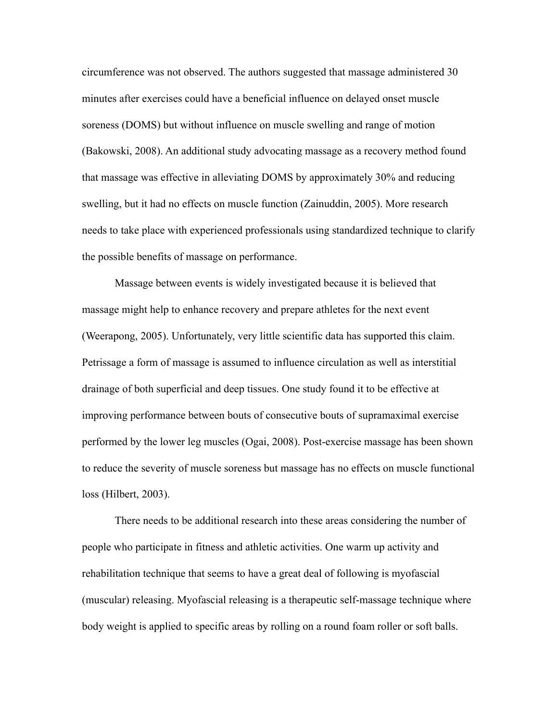circumference was not observed. The authors suggested that massage administered 30 minutes after exercises could have a beneficial influence on delayed onset muscle soreness (DOMS) but without influence on muscle swelling and range of motion (Bakowski, 2008). An additional study advocating massage as a recovery method found that massage was effective in alleviating DOMS by approximately 30% and reducing swelling, but it had no effects on muscle function (Zainuddin, 2005). More research needs to take place with experienced professionals using standardized technique to clarify the possible benefits of massage on performance.

Massage between events is widely investigated because it is believed that massage might help to enhance recovery and prepare athletes for the next event (Weerapong, 2005). Unfortunately, very little scientific data has supported this claim. Petrissage a form of massage is assumed to influence circulation as well as interstitial drainage of both superficial and deep tissues. One study found it to be effective at improving performance between bouts of consecutive bouts of supramaximal exercise performed by the lower leg muscles (Ogai, 2008). Post-exercise massage has been shown to reduce the severity of muscle soreness but massage has no effects on muscle functional loss (Hilbert, 2003).

There needs to be additional research into these areas considering the number of people who participate in fitness and athletic activities. One warm up activity and rehabilitation technique that seems to have a great deal of following is myofascial (muscular) releasing. Myofascial releasing is a therapeutic self-massage technique where body weight is applied to specific areas by rolling on a round foam roller or soft balls.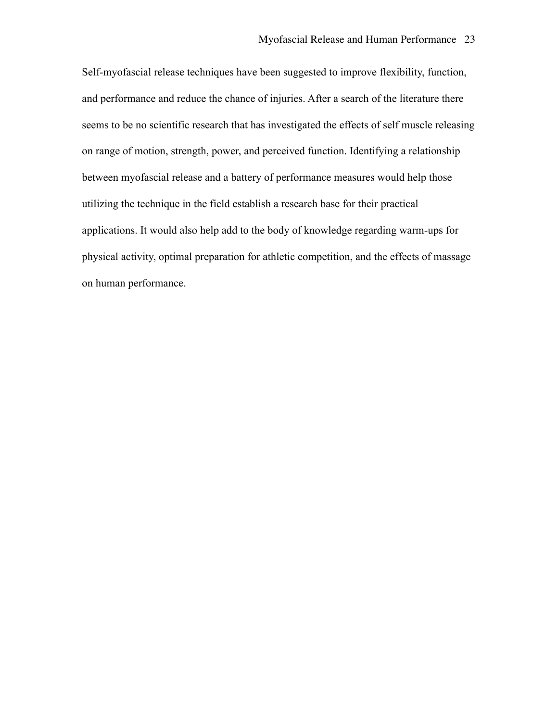Self-myofascial release techniques have been suggested to improve flexibility, function, and performance and reduce the chance of injuries. After a search of the literature there seems to be no scientific research that has investigated the effects of self muscle releasing on range of motion, strength, power, and perceived function. Identifying a relationship between myofascial release and a battery of performance measures would help those utilizing the technique in the field establish a research base for their practical applications. It would also help add to the body of knowledge regarding warm-ups for physical activity, optimal preparation for athletic competition, and the effects of massage on human performance.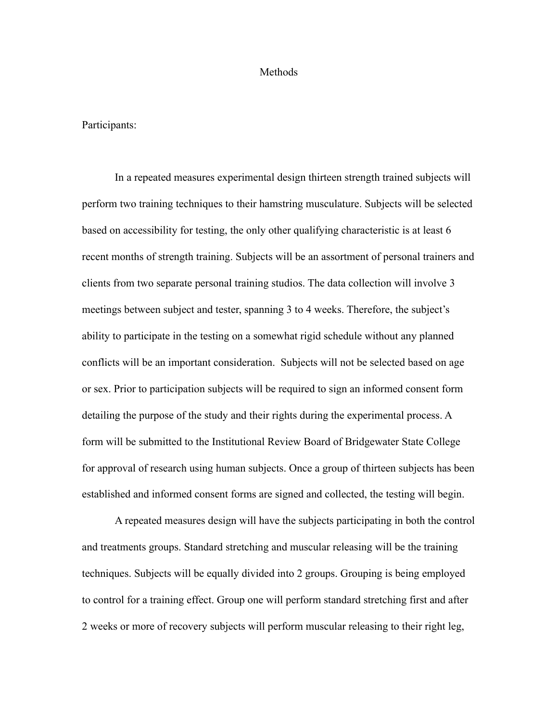### Methods

Participants:

In a repeated measures experimental design thirteen strength trained subjects will perform two training techniques to their hamstring musculature. Subjects will be selected based on accessibility for testing, the only other qualifying characteristic is at least 6 recent months of strength training. Subjects will be an assortment of personal trainers and clients from two separate personal training studios. The data collection will involve 3 meetings between subject and tester, spanning 3 to 4 weeks. Therefore, the subject's ability to participate in the testing on a somewhat rigid schedule without any planned conflicts will be an important consideration. Subjects will not be selected based on age or sex. Prior to participation subjects will be required to sign an informed consent form detailing the purpose of the study and their rights during the experimental process. A form will be submitted to the Institutional Review Board of Bridgewater State College for approval of research using human subjects. Once a group of thirteen subjects has been established and informed consent forms are signed and collected, the testing will begin.

A repeated measures design will have the subjects participating in both the control and treatments groups. Standard stretching and muscular releasing will be the training techniques. Subjects will be equally divided into 2 groups. Grouping is being employed to control for a training effect. Group one will perform standard stretching first and after 2 weeks or more of recovery subjects will perform muscular releasing to their right leg,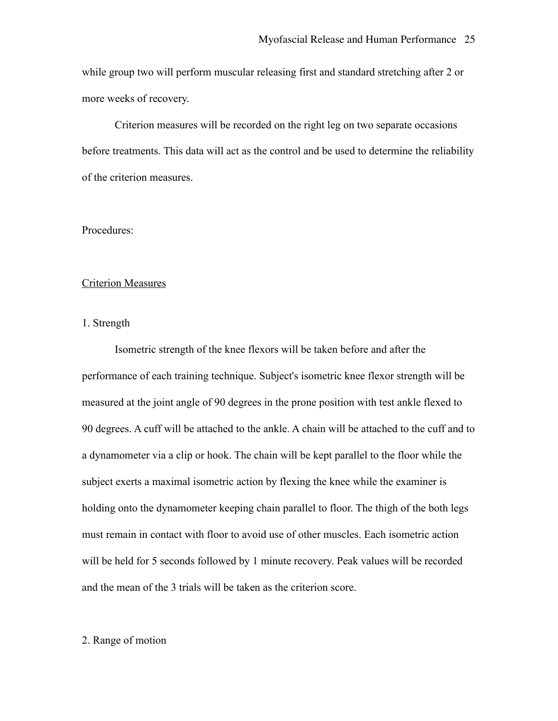while group two will perform muscular releasing first and standard stretching after 2 or more weeks of recovery.

Criterion measures will be recorded on the right leg on two separate occasions before treatments. This data will act as the control and be used to determine the reliability of the criterion measures.

# Procedures:

### Criterion Measures

### 1. Strength

Isometric strength of the knee flexors will be taken before and after the performance of each training technique. Subject's isometric knee flexor strength will be measured at the joint angle of 90 degrees in the prone position with test ankle flexed to 90 degrees. A cuff will be attached to the ankle. A chain will be attached to the cuff and to a dynamometer via a clip or hook. The chain will be kept parallel to the floor while the subject exerts a maximal isometric action by flexing the knee while the examiner is holding onto the dynamometer keeping chain parallel to floor. The thigh of the both legs must remain in contact with floor to avoid use of other muscles. Each isometric action will be held for 5 seconds followed by 1 minute recovery. Peak values will be recorded and the mean of the 3 trials will be taken as the criterion score.

### 2. Range of motion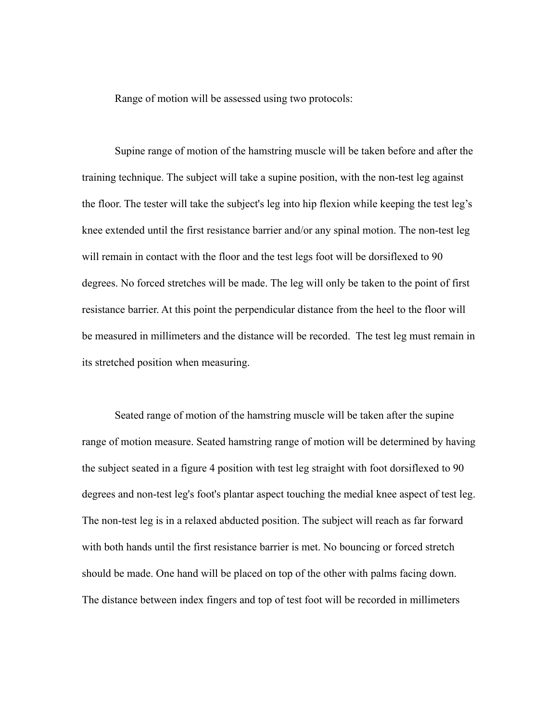Range of motion will be assessed using two protocols:

Supine range of motion of the hamstring muscle will be taken before and after the training technique. The subject will take a supine position, with the non-test leg against the floor. The tester will take the subject's leg into hip flexion while keeping the test leg's knee extended until the first resistance barrier and/or any spinal motion. The non-test leg will remain in contact with the floor and the test legs foot will be dorsiflexed to 90 degrees. No forced stretches will be made. The leg will only be taken to the point of first resistance barrier. At this point the perpendicular distance from the heel to the floor will be measured in millimeters and the distance will be recorded. The test leg must remain in its stretched position when measuring.

Seated range of motion of the hamstring muscle will be taken after the supine range of motion measure. Seated hamstring range of motion will be determined by having the subject seated in a figure 4 position with test leg straight with foot dorsiflexed to 90 degrees and non-test leg's foot's plantar aspect touching the medial knee aspect of test leg. The non-test leg is in a relaxed abducted position. The subject will reach as far forward with both hands until the first resistance barrier is met. No bouncing or forced stretch should be made. One hand will be placed on top of the other with palms facing down. The distance between index fingers and top of test foot will be recorded in millimeters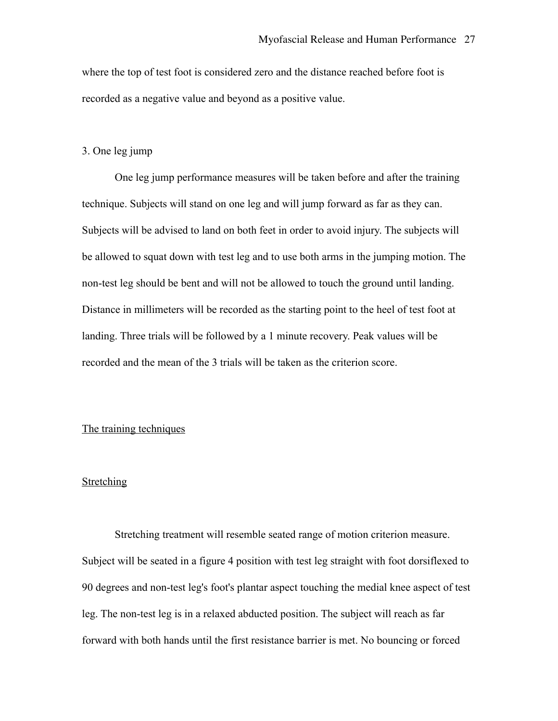where the top of test foot is considered zero and the distance reached before foot is recorded as a negative value and beyond as a positive value.

# 3. One leg jump

One leg jump performance measures will be taken before and after the training technique. Subjects will stand on one leg and will jump forward as far as they can. Subjects will be advised to land on both feet in order to avoid injury. The subjects will be allowed to squat down with test leg and to use both arms in the jumping motion. The non-test leg should be bent and will not be allowed to touch the ground until landing. Distance in millimeters will be recorded as the starting point to the heel of test foot at landing. Three trials will be followed by a 1 minute recovery. Peak values will be recorded and the mean of the 3 trials will be taken as the criterion score.

### The training techniques

## **Stretching**

Stretching treatment will resemble seated range of motion criterion measure. Subject will be seated in a figure 4 position with test leg straight with foot dorsiflexed to 90 degrees and non-test leg's foot's plantar aspect touching the medial knee aspect of test leg. The non-test leg is in a relaxed abducted position. The subject will reach as far forward with both hands until the first resistance barrier is met. No bouncing or forced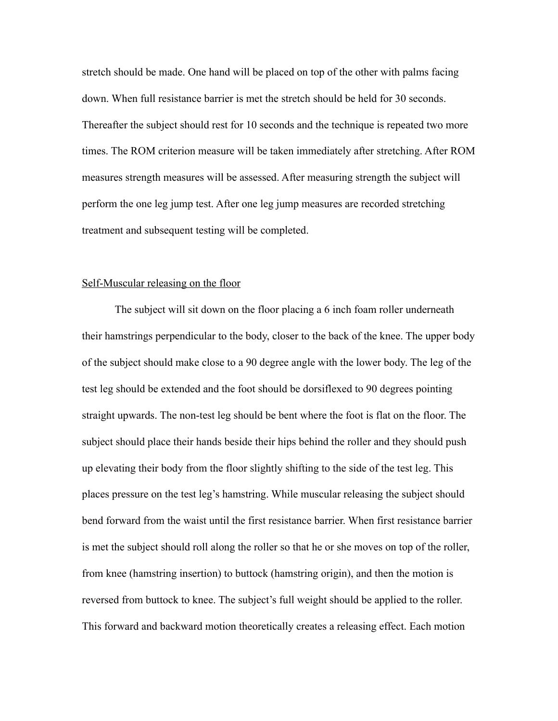stretch should be made. One hand will be placed on top of the other with palms facing down. When full resistance barrier is met the stretch should be held for 30 seconds. Thereafter the subject should rest for 10 seconds and the technique is repeated two more times. The ROM criterion measure will be taken immediately after stretching. After ROM measures strength measures will be assessed. After measuring strength the subject will perform the one leg jump test. After one leg jump measures are recorded stretching treatment and subsequent testing will be completed.

#### Self-Muscular releasing on the floor

The subject will sit down on the floor placing a 6 inch [foam rolle](http://www.anrdoezrs.net/ts76iqzwqyDGJIIELLDFEGLHLMN?url=http%3A%2F%2Fwww.bigfitness.com%2Fforofuro36x6.html&cjsku=forofuro36x6)r underneath their hamstrings perpendicular to the body, closer to the back of the knee. The upper body of the subject should make close to a 90 degree angle with the lower body. The leg of the test leg should be extended and the foot should be dorsiflexed to 90 degrees pointing straight upwards. The non-test leg should be bent where the foot is flat on the floor. The subject should place their hands beside their hips behind the roller and they should push up elevating their body from the floor slightly shifting to the side of the test leg. This places pressure on the test leg's hamstring. While muscular releasing the subject should bend forward from the waist until the first resistance barrier. When first resistance barrier is met the subject should roll along the roller so that he or she moves on top of the roller, from knee (hamstring insertion) to buttock (hamstring origin), and then the motion is reversed from buttock to knee. The subject's full weight should be applied to the roller. This forward and backward motion theoretically creates a releasing effect. Each motion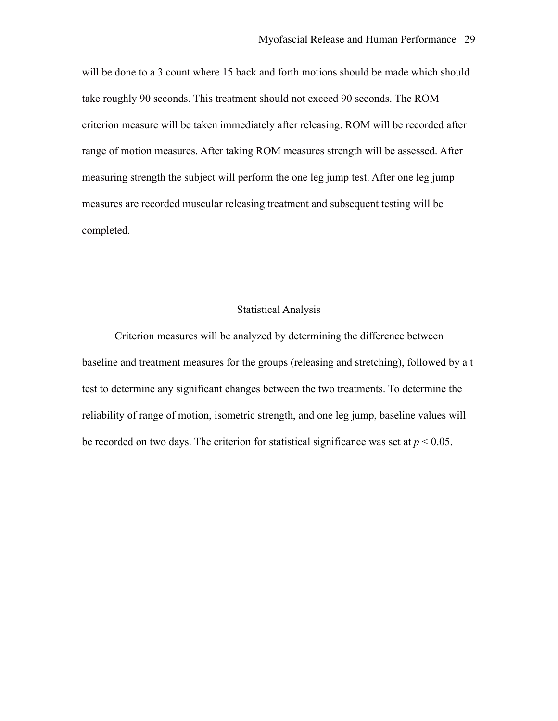will be done to a 3 count where 15 back and forth motions should be made which should take roughly 90 seconds. This treatment should not exceed 90 seconds. The ROM criterion measure will be taken immediately after releasing. ROM will be recorded after range of motion measures. After taking ROM measures strength will be assessed. After measuring strength the subject will perform the one leg jump test. After one leg jump measures are recorded muscular releasing treatment and subsequent testing will be completed.

### Statistical Analysis

Criterion measures will be analyzed by determining the difference between baseline and treatment measures for the groups (releasing and stretching), followed by a t test to determine any significant changes between the two treatments. To determine the reliability of range of motion, isometric strength, and one leg jump, baseline values will be recorded on two days. The criterion for statistical significance was set at  $p \le 0.05$ .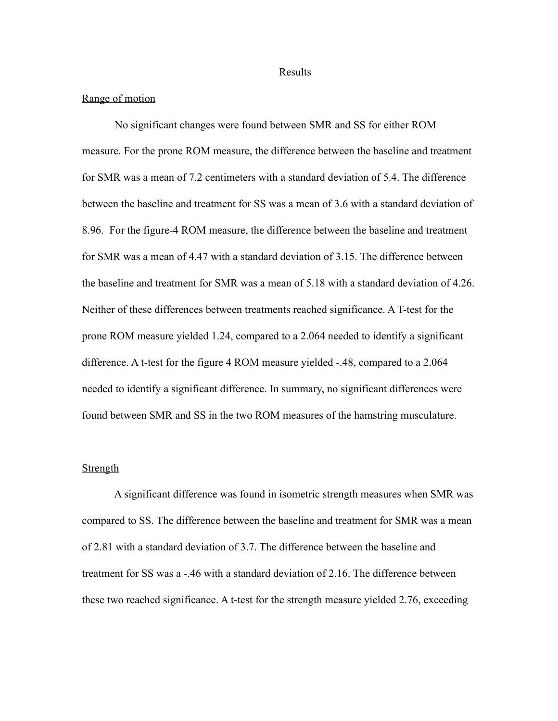Results

#### Range of motion

 No significant changes were found between SMR and SS for either ROM measure. For the prone ROM measure, the difference between the baseline and treatment for SMR was a mean of 7.2 centimeters with a standard deviation of 5.4. The difference between the baseline and treatment for SS was a mean of 3.6 with a standard deviation of 8.96. For the figure-4 ROM measure, the difference between the baseline and treatment for SMR was a mean of 4.47 with a standard deviation of 3.15. The difference between the baseline and treatment for SMR was a mean of 5.18 with a standard deviation of 4.26. Neither of these differences between treatments reached significance. A T-test for the prone ROM measure yielded 1.24, compared to a 2.064 needed to identify a significant difference. A t-test for the figure 4 ROM measure yielded -.48, compared to a 2.064 needed to identify a significant difference. In summary, no significant differences were found between SMR and SS in the two ROM measures of the hamstring musculature.

## **Strength**

 A significant difference was found in isometric strength measures when SMR was compared to SS. The difference between the baseline and treatment for SMR was a mean of 2.81 with a standard deviation of 3.7. The difference between the baseline and treatment for SS was a -.46 with a standard deviation of 2.16. The difference between these two reached significance. A t-test for the strength measure yielded 2.76, exceeding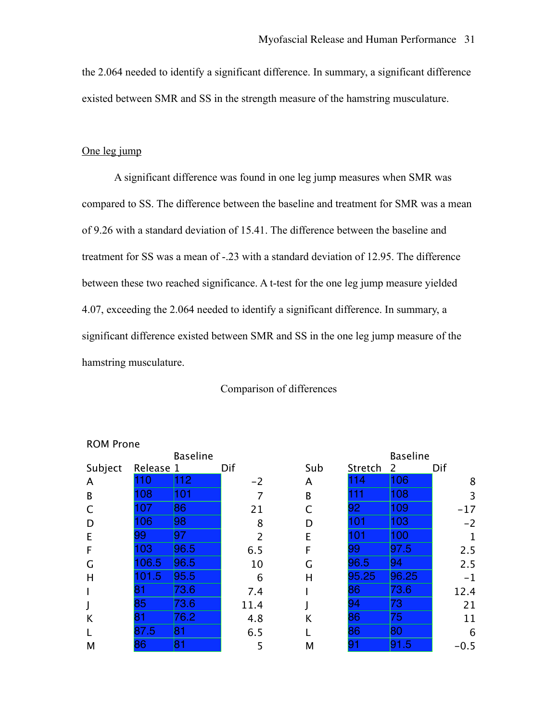the 2.064 needed to identify a significant difference. In summary, a significant difference existed between SMR and SS in the strength measure of the hamstring musculature.

# One leg jump

 A significant difference was found in one leg jump measures when SMR was compared to SS. The difference between the baseline and treatment for SMR was a mean of 9.26 with a standard deviation of 15.41. The difference between the baseline and treatment for SS was a mean of -.23 with a standard deviation of 12.95. The difference between these two reached significance. A t-test for the one leg jump measure yielded 4.07, exceeding the 2.064 needed to identify a significant difference. In summary, a significant difference existed between SMR and SS in the one leg jump measure of the hamstring musculature.

### Comparison of differences

| <b>NUMPIONE</b> |           |                 |                |     |         |                 |             |
|-----------------|-----------|-----------------|----------------|-----|---------|-----------------|-------------|
|                 |           | <b>Baseline</b> |                |     |         | <b>Baseline</b> |             |
| Subject         | Release 1 |                 | Dif            | Sub | Stretch | 2               | Dif         |
| A               | $\Omega$  | 112             | $-2$           | A   | 114     | 106             | 8           |
| B               | 108       | 101             | 7              | B   | 111     | 108             | 3           |
| $\mathsf{C}$    | 07        | 86              | 21             |     | 92      | 109             | $-17$       |
| D               | 106       | 98              | 8              | D   | 101     | 103             | $-2$        |
| E               | 99        | 97              | $\overline{2}$ | E   | 101     | 100             | $\mathbf 1$ |
| F               | 103       | 96.5            | 6.5            | F   | 99      | 97.5            | 2.5         |
| G               | 106.5     | 96.5            | 10             | G   | 96.5    | 94              | 2.5         |
| H               | 01.5      | 95.5            | 6              | Н   | 95.25   | 96.25           | $-1$        |
|                 | 81        | 73.6            | 7.4            |     | 86      | 73.6            | 12.4        |
| J               | 85        | 73.6            | 11.4           |     | 94      | 73              | 21          |
| K               | 81        | 76.2            | 4.8            | K   | 86      | 75              | 11          |
|                 | 87.5      | 81              | 6.5            |     | 86      | 80              | 6           |
| M               | 86        | 81              | 5              | М   | 91      | 91.5            | $-0.5$      |
|                 |           |                 |                |     |         |                 |             |

#### ROM Prone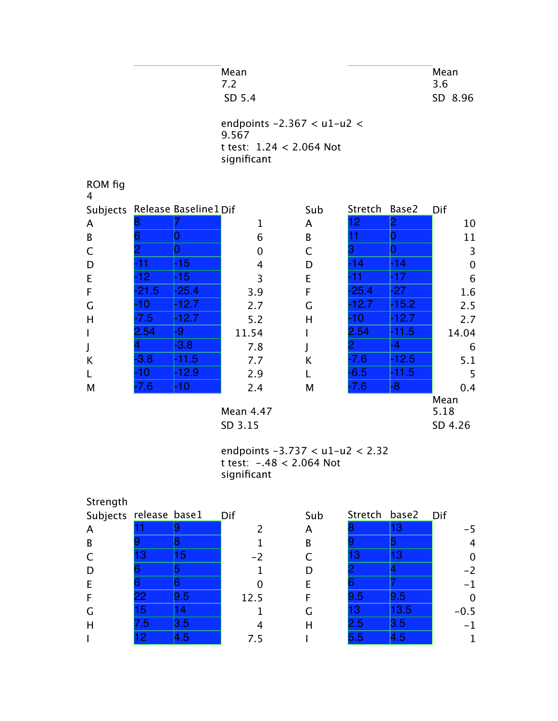| Mean                         | Mean    |
|------------------------------|---------|
| 7.2                          | 3.6     |
| SD 5.4                       | SD 8.96 |
| endpoints $-2.367 < u1-u2 <$ |         |

 $9.567$ t test: 1.24 < 2.064 Not significant

| ROM fig<br>4 |        |                                |           |              |                 |         |              |
|--------------|--------|--------------------------------|-----------|--------------|-----------------|---------|--------------|
|              |        | Subjects Release Baseline1 Dif |           | Sub          | Stretch         | Base2   | Dif          |
| A            |        |                                | 1         | A            | 12 <sub>1</sub> | 2       | 10           |
| B            |        | U                              | 6         | B            | 11              | 0       | 11           |
| C            |        | 0                              | 0         | $\mathsf{C}$ |                 | 0       | 3            |
| D            | -11    | -15                            | 4         | D            | $-14$           | -14     | $\mathbf 0$  |
| E            | $-12$  | -15                            | 3         | E            | -11             | -17     | 6            |
| F            | -21.5  | -25.4                          | 3.9       | F            | $-25.4$         | -27     | 1.6          |
| G            | -10    | -12.7                          | 2.7       | G            | $-12.7$         | $-15.2$ | 2.5          |
| H            | -7.5   | -12.7                          | 5.2       | H            | -10             | -12.7   | 2.7          |
| $\mathbf{I}$ | 2.54   | -9                             | 11.54     |              | 2.54            | $-11.5$ | 14.04        |
| J            |        | $-3.8$                         | 7.8       |              |                 | -4      | 6            |
| К            | $-3.8$ | -11.5                          | 7.7       | K            | $-7.6$          | $-12.5$ | 5.1          |
| L            | -10    | -12.9                          | 2.9       | L            | $-6.5$          | -11.5   | 5            |
| M            | $-7.6$ | -10                            | 2.4       | M            | $-7.6$          | -8      | 0.4          |
|              |        |                                | Mean 4.47 |              |                 |         | Mean<br>5.18 |
|              |        |                                | SD 3.15   |              |                 |         | SD 4.26      |

## endpoints -3.737 < u1-u2 < 2.32 t test: -.48 < 2.064 Not significant

| Strength               |                 |     |      |     |         |               |                |
|------------------------|-----------------|-----|------|-----|---------|---------------|----------------|
| Subjects release base1 |                 |     | Dif  | Sub |         | Stretch base2 | Dif            |
| A                      |                 |     |      | A   |         | 13            | $-5$           |
| B                      |                 |     |      | B   |         |               | $\overline{4}$ |
|                        | 13              | 15  | $-2$ |     | 13      | <b>13</b>     | $\mathbf 0$    |
| D                      |                 |     |      |     |         |               | $-2$           |
| E                      |                 |     |      | F   |         |               | $-1$           |
| F                      | 22 <sub>2</sub> | 9.5 | 12.5 | F   | 9.5     | 9.5           | $\mathbf 0$    |
| G                      | 15              | 14  |      | G   | 13      | 13.5          | $-0.5$         |
| H                      | 1.5             | 3.5 |      | н   | $2.5\,$ | 3.5           | $-1$           |
|                        | $\overline{2}$  | 4.5 | 7.5  |     | 5.5     | 4.5           |                |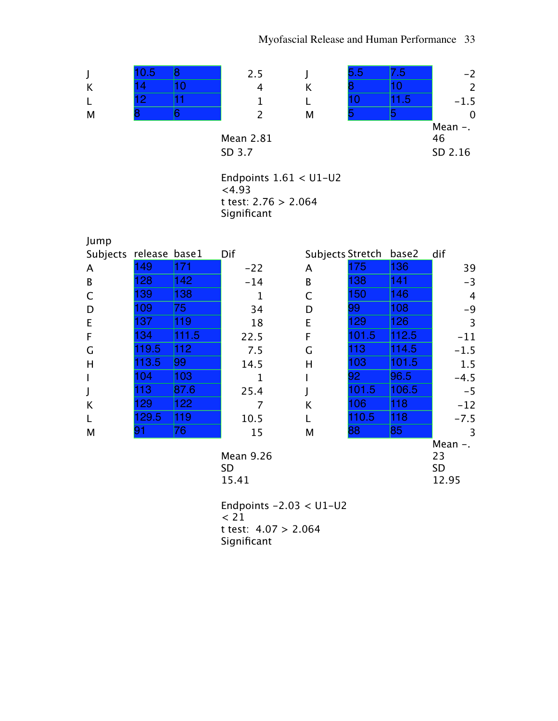

Mean 2.81

SD 3.7 SD 2.16 Endpoints 1.61 < U1-U2

 $< 4.93$ t test: 2.76 > 2.064 Significant

| Jump                   |       |       |           |                        |       |       |        |
|------------------------|-------|-------|-----------|------------------------|-------|-------|--------|
| Subjects release base1 |       |       | Dif       | Subjects Stretch base2 |       |       | dif    |
| A                      | 149   | 171   | $-22$     | A                      | 175   | 136   | 39     |
| B                      | 28    | 142   | $-14$     | B                      | 138   | 141   | $-3$   |
| C                      | 39    | 138   | 1         | C                      | 150   | 146   | 4      |
| D                      | 09    | 75    | 34        | D                      | 99    | 108   | $-9$   |
| E                      | 137   | 119   | 18        | E                      | 129   | 126   | 3      |
| F                      | 34    | 111.5 | 22.5      | F                      | 101.5 | 112.5 | $-11$  |
| G                      | 19.5  | 112   | 7.5       | G                      | 113   | 114.5 | $-1.5$ |
| H                      | 13.5  | 99    | 14.5      | н                      | 103   | 101.5 | 1.5    |
|                        | 04    | 103   |           |                        | 92    | 96.5  | $-4.5$ |
| J                      | 13    | 87.6  | 25.4      |                        | 01.5  | 106.5 | $-5$   |
| K                      | 29    | 122   | 7         | K                      | 106   | 118   | $-12$  |
|                        | 129.5 | 119   | 10.5      |                        | 110.5 | 118   | $-7.5$ |
| M                      | 91    | 76    | 15        | M                      | 88    | 85    | 3      |
|                        |       |       |           |                        |       |       | Mean   |
|                        |       |       | Mean 9.26 |                        |       |       | 23     |

| Mean 9.2t |  |
|-----------|--|
| SD        |  |
| 15.41     |  |

23 SD 12.95

Endpoints -2.03 < U1-U2 < 21 t test: 4.07 > 2.064 Significant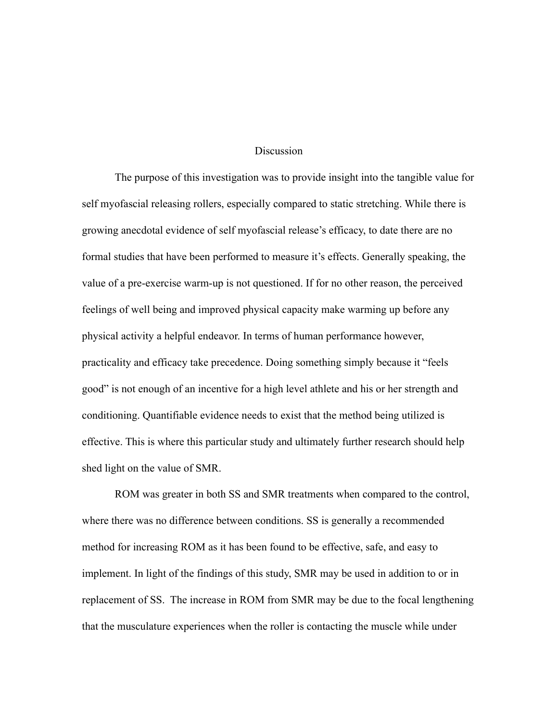### Discussion

The purpose of this investigation was to provide insight into the tangible value for self myofascial releasing rollers, especially compared to static stretching. While there is growing anecdotal evidence of self myofascial release's efficacy, to date there are no formal studies that have been performed to measure it's effects. Generally speaking, the value of a pre-exercise warm-up is not questioned. If for no other reason, the perceived feelings of well being and improved physical capacity make warming up before any physical activity a helpful endeavor. In terms of human performance however, practicality and efficacy take precedence. Doing something simply because it "feels good" is not enough of an incentive for a high level athlete and his or her strength and conditioning. Quantifiable evidence needs to exist that the method being utilized is effective. This is where this particular study and ultimately further research should help shed light on the value of SMR.

ROM was greater in both SS and SMR treatments when compared to the control, where there was no difference between conditions. SS is generally a recommended method for increasing ROM as it has been found to be effective, safe, and easy to implement. In light of the findings of this study, SMR may be used in addition to or in replacement of SS. The increase in ROM from SMR may be due to the focal lengthening that the musculature experiences when the roller is contacting the muscle while under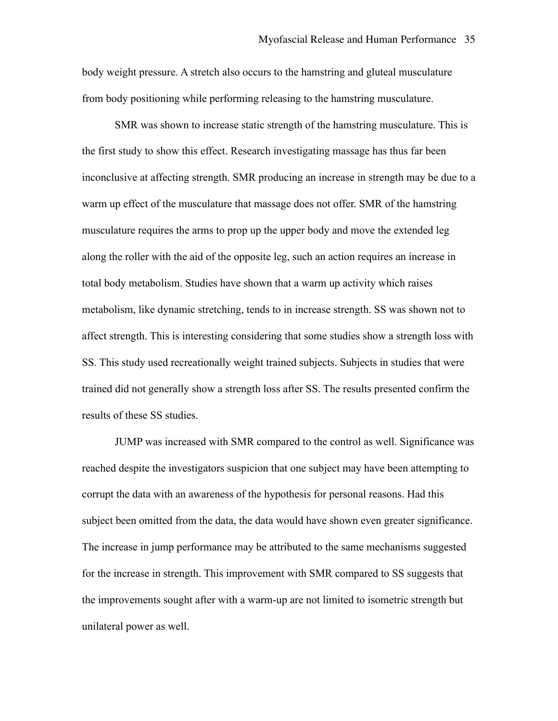body weight pressure. A stretch also occurs to the hamstring and gluteal musculature from body positioning while performing releasing to the hamstring musculature.

SMR was shown to increase static strength of the hamstring musculature. This is the first study to show this effect. Research investigating massage has thus far been inconclusive at affecting strength. SMR producing an increase in strength may be due to a warm up effect of the musculature that massage does not offer. SMR of the hamstring musculature requires the arms to prop up the upper body and move the extended leg along the roller with the aid of the opposite leg, such an action requires an increase in total body metabolism. Studies have shown that a warm up activity which raises metabolism, like dynamic stretching, tends to in increase strength. SS was shown not to affect strength. This is interesting considering that some studies show a strength loss with SS. This study used recreationally weight trained subjects. Subjects in studies that were trained did not generally show a strength loss after SS. The results presented confirm the results of these SS studies.

JUMP was increased with SMR compared to the control as well. Significance was reached despite the investigators suspicion that one subject may have been attempting to corrupt the data with an awareness of the hypothesis for personal reasons. Had this subject been omitted from the data, the data would have shown even greater significance. The increase in jump performance may be attributed to the same mechanisms suggested for the increase in strength. This improvement with SMR compared to SS suggests that the improvements sought after with a warm-up are not limited to isometric strength but unilateral power as well.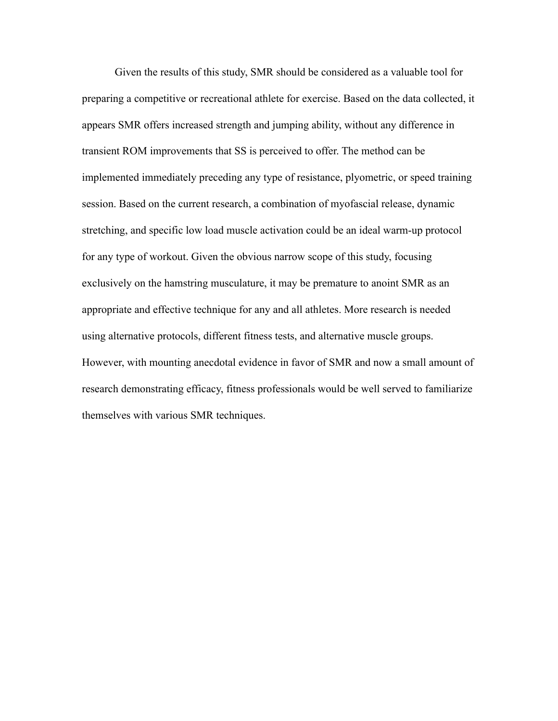Given the results of this study, SMR should be considered as a valuable tool for preparing a competitive or recreational athlete for exercise. Based on the data collected, it appears SMR offers increased strength and jumping ability, without any difference in transient ROM improvements that SS is perceived to offer. The method can be implemented immediately preceding any type of resistance, plyometric, or speed training session. Based on the current research, a combination of myofascial release, dynamic stretching, and specific low load muscle activation could be an ideal warm-up protocol for any type of workout. Given the obvious narrow scope of this study, focusing exclusively on the hamstring musculature, it may be premature to anoint SMR as an appropriate and effective technique for any and all athletes. More research is needed using alternative protocols, different fitness tests, and alternative muscle groups. However, with mounting anecdotal evidence in favor of SMR and now a small amount of research demonstrating efficacy, fitness professionals would be well served to familiarize themselves with various SMR techniques.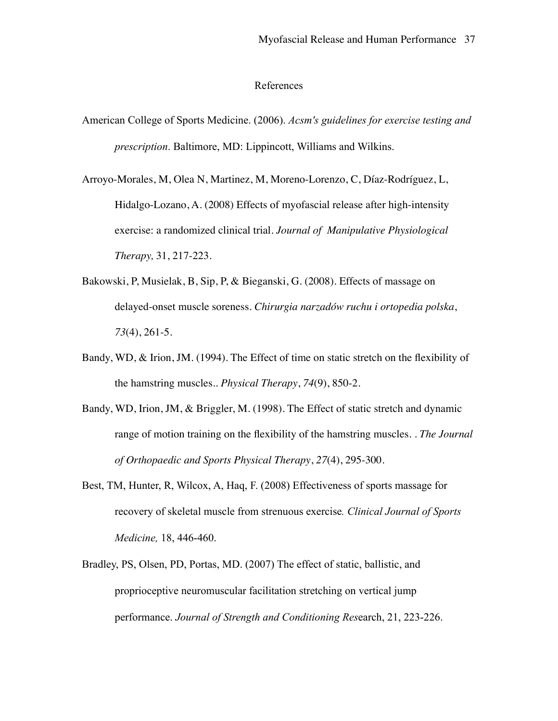#### References

American College of Sports Medicine. (2006). *Acsm's guidelines for exercise testing and prescription*. Baltimore, MD: Lippincott, Williams and Wilkins.

[Arroyo-Morales, M,](http://www.ncbi.nlm.nih.gov/sites/entrez?Db=pubmed&Cmd=Search&Term=%22Arroyo-Morales%20M%22%5BAuthor%5D&itool=EntrezSystem2.PEntrez.Pubmed.Pubmed_ResultsPanel.Pubmed_DiscoveryPanel.Pubmed_RVAbstractPlus) [Olea N,](http://www.ncbi.nlm.nih.gov/sites/entrez?Db=pubmed&Cmd=Search&Term=%22Olea%20N%22%5BAuthor%5D&itool=EntrezSystem2.PEntrez.Pubmed.Pubmed_ResultsPanel.Pubmed_DiscoveryPanel.Pubmed_RVAbstractPlus) [Martinez, M,](http://www.ncbi.nlm.nih.gov/sites/entrez?Db=pubmed&Cmd=Search&Term=%22Martinez%20M%22%5BAuthor%5D&itool=EntrezSystem2.PEntrez.Pubmed.Pubmed_ResultsPanel.Pubmed_DiscoveryPanel.Pubmed_RVAbstractPlus) [Moreno-Lorenzo, C,](http://www.ncbi.nlm.nih.gov/sites/entrez?Db=pubmed&Cmd=Search&Term=%22Moreno-Lorenzo%20C%22%5BAuthor%5D&itool=EntrezSystem2.PEntrez.Pubmed.Pubmed_ResultsPanel.Pubmed_DiscoveryPanel.Pubmed_RVAbstractPlus) [Díaz-Rodríguez, L,](http://www.ncbi.nlm.nih.gov/sites/entrez?Db=pubmed&Cmd=Search&Term=%22D%C3%ADaz-Rodr%C3%ADguez%20L%22%5BAuthor%5D&itool=EntrezSystem2.PEntrez.Pubmed.Pubmed_ResultsPanel.Pubmed_DiscoveryPanel.Pubmed_RVAbstractPlus) [Hidalgo-Lozano, A.](http://www.ncbi.nlm.nih.gov/sites/entrez?Db=pubmed&Cmd=Search&Term=%22Hidalgo-Lozano%20A%22%5BAuthor%5D&itool=EntrezSystem2.PEntrez.Pubmed.Pubmed_ResultsPanel.Pubmed_DiscoveryPanel.Pubmed_RVAbstractPlus) (2008) Effects of myofascial release after high-intensity exercise: a randomized clinical trial. *Journal of Manipulative Physiological Therapy,* 31, 217-223.

- Bakowski, P, Musielak, B, Sip, P, & Bieganski, G. (2008). Effects of massage on delayed-onset muscle soreness. *Chirurgia narzadów ruchu i ortopedia polska*, *73*(4), 261-5.
- Bandy, WD, & Irion, JM. (1994). The Effect of time on static stretch on the flexibility of the hamstring muscles.. *Physical Therapy*, *74*(9), 850-2.
- Bandy, WD, Irion, JM, & Briggler, M. (1998). The Effect of static stretch and dynamic range of motion training on the flexibility of the hamstring muscles. . *The Journal of Orthopaedic and Sports Physical Therapy*, *27*(4), 295-300.
- [Best, TM](http://www.ncbi.nlm.nih.gov/sites/entrez?Db=pubmed&Cmd=Search&Term=%22Best%20TM%22%5BAuthor%5D&itool=EntrezSystem2.PEntrez.Pubmed.Pubmed_ResultsPanel.Pubmed_DiscoveryPanel.Pubmed_RVAbstractPlus), [Hunter, R,](http://www.ncbi.nlm.nih.gov/sites/entrez?Db=pubmed&Cmd=Search&Term=%22Hunter%20R%22%5BAuthor%5D&itool=EntrezSystem2.PEntrez.Pubmed.Pubmed_ResultsPanel.Pubmed_DiscoveryPanel.Pubmed_RVAbstractPlus) [Wilcox, A,](http://www.ncbi.nlm.nih.gov/sites/entrez?Db=pubmed&Cmd=Search&Term=%22Wilcox%20A%22%5BAuthor%5D&itool=EntrezSystem2.PEntrez.Pubmed.Pubmed_ResultsPanel.Pubmed_DiscoveryPanel.Pubmed_RVAbstractPlus) [Haq, F](http://www.ncbi.nlm.nih.gov/sites/entrez?Db=pubmed&Cmd=Search&Term=%22Haq%20F%22%5BAuthor%5D&itool=EntrezSystem2.PEntrez.Pubmed.Pubmed_ResultsPanel.Pubmed_DiscoveryPanel.Pubmed_RVAbstractPlus). (2008) Effectiveness of sports massage for recovery of skeletal muscle from strenuous exercise*. Clinical Journal of Sports Medicine,* 18, 446-460.
- [Bradley, PS,](http://www.ncbi.nlm.nih.gov/sites/entrez?Db=pubmed&Cmd=Search&Term=%22Bradley%20PS%22%5BAuthor%5D&itool=EntrezSystem2.PEntrez.Pubmed.Pubmed_ResultsPanel.Pubmed_DiscoveryPanel.Pubmed_RVAbstractPlus) [Olsen, PD,](http://www.ncbi.nlm.nih.gov/sites/entrez?Db=pubmed&Cmd=Search&Term=%22Olsen%20PD%22%5BAuthor%5D&itool=EntrezSystem2.PEntrez.Pubmed.Pubmed_ResultsPanel.Pubmed_DiscoveryPanel.Pubmed_RVAbstractPlus) [Portas, MD](http://www.ncbi.nlm.nih.gov/sites/entrez?Db=pubmed&Cmd=Search&Term=%22Portas%20MD%22%5BAuthor%5D&itool=EntrezSystem2.PEntrez.Pubmed.Pubmed_ResultsPanel.Pubmed_DiscoveryPanel.Pubmed_RVAbstractPlus). (2007) The effect of static, ballistic, and proprioceptive neuromuscular facilitation stretching on vertical jump performance. *Journal of Strength and Conditioning Res*earch, 21, 223-226.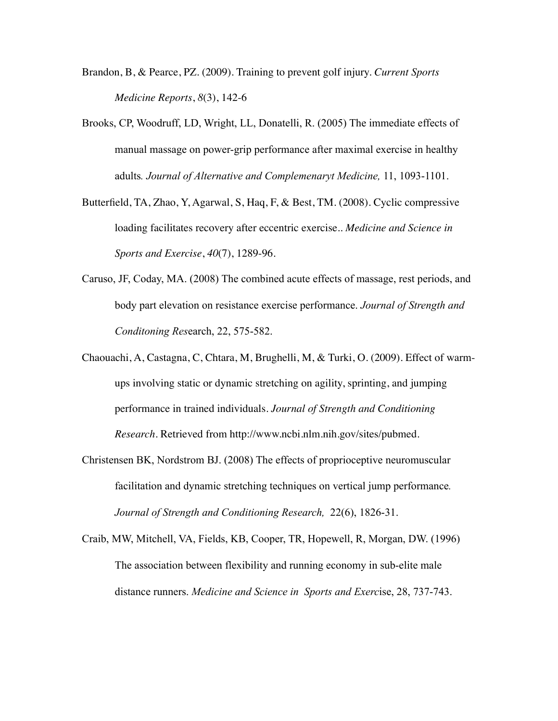- Brandon, B, & Pearce, PZ. (2009). Training to prevent golf injury. *Current Sports Medicine Reports*, *8*(3), 142-6
- [Brooks, CP](http://www.ncbi.nlm.nih.gov/sites/entrez?Db=pubmed&Cmd=Search&Term=%22Brooks%20CP%22%5BAuthor%5D&itool=EntrezSystem2.PEntrez.Pubmed.Pubmed_ResultsPanel.Pubmed_DiscoveryPanel.Pubmed_RVAbstractPlus), [Woodruff, LD,](http://www.ncbi.nlm.nih.gov/sites/entrez?Db=pubmed&Cmd=Search&Term=%22Woodruff%20LD%22%5BAuthor%5D&itool=EntrezSystem2.PEntrez.Pubmed.Pubmed_ResultsPanel.Pubmed_DiscoveryPanel.Pubmed_RVAbstractPlus) [Wright, LL,](http://www.ncbi.nlm.nih.gov/sites/entrez?Db=pubmed&Cmd=Search&Term=%22Wright%20LL%22%5BAuthor%5D&itool=EntrezSystem2.PEntrez.Pubmed.Pubmed_ResultsPanel.Pubmed_DiscoveryPanel.Pubmed_RVAbstractPlus) [Donatelli, R.](http://www.ncbi.nlm.nih.gov/sites/entrez?Db=pubmed&Cmd=Search&Term=%22Donatelli%20R%22%5BAuthor%5D&itool=EntrezSystem2.PEntrez.Pubmed.Pubmed_ResultsPanel.Pubmed_DiscoveryPanel.Pubmed_RVAbstractPlus) (2005) The immediate effects of manual massage on power-grip performance after maximal exercise in healthy adults*. Journal of Alternative and Complemenaryt Medicine,* 11, 1093-1101.
- Butterfield, TA, Zhao, Y, Agarwal, S, Haq, F, & Best, TM. (2008). Cyclic compressive loading facilitates recovery after eccentric exercise.. *Medicine and Science in Sports and Exercise*, *40*(7), 1289-96.
- [Caruso, JF](http://www.ncbi.nlm.nih.gov/sites/entrez?Db=pubmed&Cmd=Search&Term=%22Caruso%20JF%22%5BAuthor%5D&itool=EntrezSystem2.PEntrez.Pubmed.Pubmed_ResultsPanel.Pubmed_DiscoveryPanel.Pubmed_RVAbstractPlus), [Coday, MA](http://www.ncbi.nlm.nih.gov/sites/entrez?Db=pubmed&Cmd=Search&Term=%22Coday%20MA%22%5BAuthor%5D&itool=EntrezSystem2.PEntrez.Pubmed.Pubmed_ResultsPanel.Pubmed_DiscoveryPanel.Pubmed_RVAbstractPlus). (2008) The combined acute effects of massage, rest periods, and body part elevation on resistance exercise performance. *Journal of Strength and Conditoning Res*earch, 22, 575-582.
- Chaouachi, A, Castagna, C, Chtara, M, Brughelli, M, & Turki, O. (2009). Effect of warmups involving static or dynamic stretching on agility, sprinting, and jumping performance in trained individuals. *Journal of Strength and Conditioning Research*. Retrieved from http://www.ncbi.nlm.nih.gov/sites/pubmed.
- Christensen [BK](http://www.ncbi.nlm.nih.gov/pubmed?term=%22Christensen%20BK%22%5BAuthor%5D&itool=EntrezSystem2.PEntrez.Pubmed.Pubmed_ResultsPanel.Pubmed_RVAbstract), [Nordstrom BJ](http://www.ncbi.nlm.nih.gov/pubmed?term=%22Nordstrom%20BJ%22%5BAuthor%5D&itool=EntrezSystem2.PEntrez.Pubmed.Pubmed_ResultsPanel.Pubmed_RVAbstract). (2008) The effects of proprioceptive neuromuscular facilitation and dynamic stretching techniques on vertical jump performance*. Journal of Strength and Conditioning Research,* 22(6), 1826-31.
- [Craib, MW,](http://www.ncbi.nlm.nih.gov/sites/entrez?Db=pubmed&Cmd=Search&Term=%22Craib%20MW%22%5BAuthor%5D&itool=EntrezSystem2.PEntrez.Pubmed.Pubmed_ResultsPanel.Pubmed_DiscoveryPanel.Pubmed_RVAbstractPlus) [Mitchell, VA,](http://www.ncbi.nlm.nih.gov/sites/entrez?Db=pubmed&Cmd=Search&Term=%22Mitchell%20VA%22%5BAuthor%5D&itool=EntrezSystem2.PEntrez.Pubmed.Pubmed_ResultsPanel.Pubmed_DiscoveryPanel.Pubmed_RVAbstractPlus) [Fields, KB,](http://www.ncbi.nlm.nih.gov/sites/entrez?Db=pubmed&Cmd=Search&Term=%22Fields%20KB%22%5BAuthor%5D&itool=EntrezSystem2.PEntrez.Pubmed.Pubmed_ResultsPanel.Pubmed_DiscoveryPanel.Pubmed_RVAbstractPlus) [Cooper, TR,](http://www.ncbi.nlm.nih.gov/sites/entrez?Db=pubmed&Cmd=Search&Term=%22Cooper%20TR%22%5BAuthor%5D&itool=EntrezSystem2.PEntrez.Pubmed.Pubmed_ResultsPanel.Pubmed_DiscoveryPanel.Pubmed_RVAbstractPlus) [Hopewell, R](http://www.ncbi.nlm.nih.gov/sites/entrez?Db=pubmed&Cmd=Search&Term=%22Hopewell%20R%22%5BAuthor%5D&itool=EntrezSystem2.PEntrez.Pubmed.Pubmed_ResultsPanel.Pubmed_DiscoveryPanel.Pubmed_RVAbstractPlus), [Morgan, DW](http://www.ncbi.nlm.nih.gov/sites/entrez?Db=pubmed&Cmd=Search&Term=%22Morgan%20DW%22%5BAuthor%5D&itool=EntrezSystem2.PEntrez.Pubmed.Pubmed_ResultsPanel.Pubmed_DiscoveryPanel.Pubmed_RVAbstractPlus). (1996) The association between flexibility and running economy in sub-elite male distance runners. *Medicine and Science in Sports and Exerc*ise, 28, 737-743.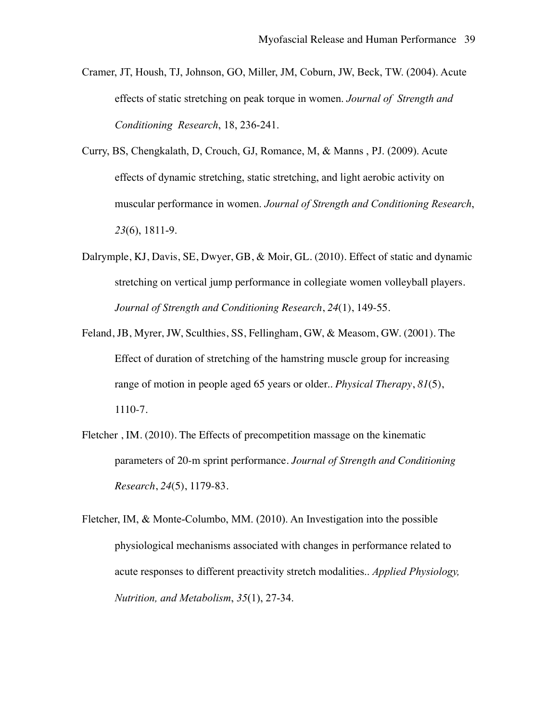- [Cramer, JT,](http://www.ncbi.nlm.nih.gov/sites/entrez?Db=pubmed&Cmd=Search&Term=%22Cramer%20JT%22%5BAuthor%5D&itool=EntrezSystem2.PEntrez.Pubmed.Pubmed_ResultsPanel.Pubmed_DiscoveryPanel.Pubmed_RVAbstractPlus) [Housh, TJ,](http://www.ncbi.nlm.nih.gov/sites/entrez?Db=pubmed&Cmd=Search&Term=%22Housh%20TJ%22%5BAuthor%5D&itool=EntrezSystem2.PEntrez.Pubmed.Pubmed_ResultsPanel.Pubmed_DiscoveryPanel.Pubmed_RVAbstractPlus) [Johnson, GO](http://www.ncbi.nlm.nih.gov/sites/entrez?Db=pubmed&Cmd=Search&Term=%22Johnson%20GO%22%5BAuthor%5D&itool=EntrezSystem2.PEntrez.Pubmed.Pubmed_ResultsPanel.Pubmed_DiscoveryPanel.Pubmed_RVAbstractPlus), [Miller, JM](http://www.ncbi.nlm.nih.gov/sites/entrez?Db=pubmed&Cmd=Search&Term=%22Miller%20JM%22%5BAuthor%5D&itool=EntrezSystem2.PEntrez.Pubmed.Pubmed_ResultsPanel.Pubmed_DiscoveryPanel.Pubmed_RVAbstractPlus), [Coburn, JW](http://www.ncbi.nlm.nih.gov/sites/entrez?Db=pubmed&Cmd=Search&Term=%22Coburn%20JW%22%5BAuthor%5D&itool=EntrezSystem2.PEntrez.Pubmed.Pubmed_ResultsPanel.Pubmed_DiscoveryPanel.Pubmed_RVAbstractPlus), [Beck, TW](http://www.ncbi.nlm.nih.gov/sites/entrez?Db=pubmed&Cmd=Search&Term=%22Beck%20TW%22%5BAuthor%5D&itool=EntrezSystem2.PEntrez.Pubmed.Pubmed_ResultsPanel.Pubmed_DiscoveryPanel.Pubmed_RVAbstractPlus). (2004). Acute effects of static stretching on peak torque in women. *Journal of Strength and Conditioning Research*, 18, 236-241.
- Curry, BS, Chengkalath, D, Crouch, GJ, Romance, M, & Manns , PJ. (2009). Acute effects of dynamic stretching, static stretching, and light aerobic activity on muscular performance in women. *Journal of Strength and Conditioning Research*, *23*(6), 1811-9.
- Dalrymple, KJ, Davis, SE, Dwyer, GB, & Moir, GL. (2010). Effect of static and dynamic stretching on vertical jump performance in collegiate women volleyball players. *Journal of Strength and Conditioning Research*, *24*(1), 149-55.
- Feland, JB, Myrer, JW, Sculthies, SS, Fellingham, GW, & Measom, GW. (2001). The Effect of duration of stretching of the hamstring muscle group for increasing range of motion in people aged 65 years or older.. *Physical Therapy*, *81*(5), 1110-7.
- Fletcher , IM. (2010). The Effects of precompetition massage on the kinematic parameters of 20-m sprint performance. *Journal of Strength and Conditioning Research*, *24*(5), 1179-83.
- Fletcher, IM, & Monte-Columbo, MM. (2010). An Investigation into the possible physiological mechanisms associated with changes in performance related to acute responses to different preactivity stretch modalities.. *Applied Physiology, Nutrition, and Metabolism*, *35*(1), 27-34.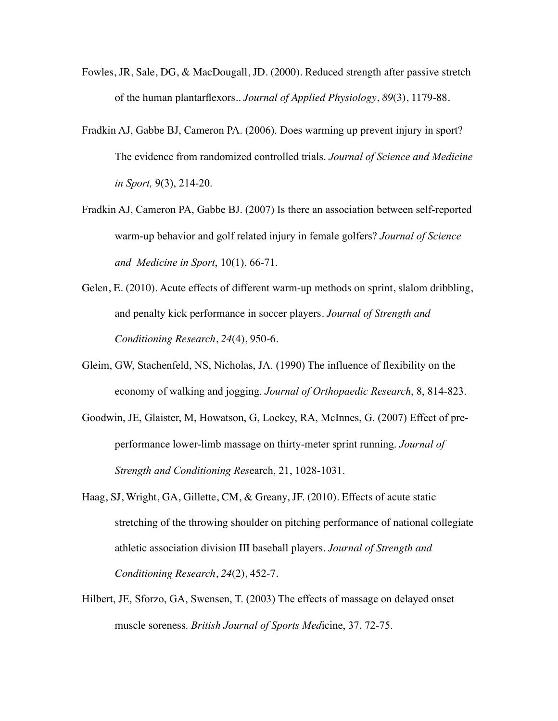- Fowles, JR, Sale, DG, & MacDougall, JD. (2000). Reduced strength after passive stretch of the human plantarflexors.. *Journal of Applied Physiology*, *89*(3), 1179-88.
- [Fradkin AJ](http://www.ncbi.nlm.nih.gov/sites/entrez?Db=pubmed&Cmd=Search&Term=%22Fradkin%20AJ%22%5BAuthor%5D&itool=EntrezSystem2.PEntrez.Pubmed.Pubmed_ResultsPanel.Pubmed_DiscoveryPanel.Pubmed_RVAbstractPlus), [Gabbe BJ,](http://www.ncbi.nlm.nih.gov/sites/entrez?Db=pubmed&Cmd=Search&Term=%22Gabbe%20BJ%22%5BAuthor%5D&itool=EntrezSystem2.PEntrez.Pubmed.Pubmed_ResultsPanel.Pubmed_DiscoveryPanel.Pubmed_RVAbstractPlus) [Cameron PA](http://www.ncbi.nlm.nih.gov/sites/entrez?Db=pubmed&Cmd=Search&Term=%22Cameron%20PA%22%5BAuthor%5D&itool=EntrezSystem2.PEntrez.Pubmed.Pubmed_ResultsPanel.Pubmed_DiscoveryPanel.Pubmed_RVAbstractPlus). (2006). Does warming up prevent injury in sport? The evidence from randomized controlled trials. *Journal of Science and Medicine in Sport,* 9(3), 214-20.
- [Fradkin AJ](http://www.ncbi.nlm.nih.gov/pubmed?term=%22Fradkin%20AJ%22%5BAuthor%5D&itool=EntrezSystem2.PEntrez.Pubmed.Pubmed_ResultsPanel.Pubmed_RVAbstract), [Cameron PA](http://www.ncbi.nlm.nih.gov/pubmed?term=%22Cameron%20PA%22%5BAuthor%5D&itool=EntrezSystem2.PEntrez.Pubmed.Pubmed_ResultsPanel.Pubmed_RVAbstract), [Gabbe BJ](http://www.ncbi.nlm.nih.gov/pubmed?term=%22Gabbe%20BJ%22%5BAuthor%5D&itool=EntrezSystem2.PEntrez.Pubmed.Pubmed_ResultsPanel.Pubmed_RVAbstract). (2007) Is there an association between self-reported warm-up behavior and golf related injury in female golfers? *Journal of Science and Medicine in Sport*, 10(1), 66-71.
- Gelen, E. (2010). Acute effects of different warm-up methods on sprint, slalom dribbling, and penalty kick performance in soccer players. *Journal of Strength and Conditioning Research*, *24*(4), 950-6.
- [Gleim, GW,](http://www.ncbi.nlm.nih.gov/sites/entrez?Db=pubmed&Cmd=Search&Term=%22Gleim%20GW%22%5BAuthor%5D&itool=EntrezSystem2.PEntrez.Pubmed.Pubmed_ResultsPanel.Pubmed_DiscoveryPanel.Pubmed_RVAbstractPlus) [Stachenfeld, NS,](http://www.ncbi.nlm.nih.gov/sites/entrez?Db=pubmed&Cmd=Search&Term=%22Stachenfeld%20NS%22%5BAuthor%5D&itool=EntrezSystem2.PEntrez.Pubmed.Pubmed_ResultsPanel.Pubmed_DiscoveryPanel.Pubmed_RVAbstractPlus) [Nicholas, JA.](http://www.ncbi.nlm.nih.gov/sites/entrez?Db=pubmed&Cmd=Search&Term=%22Nicholas%20JA%22%5BAuthor%5D&itool=EntrezSystem2.PEntrez.Pubmed.Pubmed_ResultsPanel.Pubmed_DiscoveryPanel.Pubmed_RVAbstractPlus) (1990) The influence of flexibility on the economy of walking and jogging. *Journal of Orthopaedic Research*, 8, 814-823.
- [Goodwin, JE,](http://www.ncbi.nlm.nih.gov/sites/entrez?Db=pubmed&Cmd=Search&Term=%22Goodwin%20JE%22%5BAuthor%5D&itool=EntrezSystem2.PEntrez.Pubmed.Pubmed_ResultsPanel.Pubmed_DiscoveryPanel.Pubmed_RVAbstractPlus) [Glaister, M,](http://www.ncbi.nlm.nih.gov/sites/entrez?Db=pubmed&Cmd=Search&Term=%22Glaister%20M%22%5BAuthor%5D&itool=EntrezSystem2.PEntrez.Pubmed.Pubmed_ResultsPanel.Pubmed_DiscoveryPanel.Pubmed_RVAbstractPlus) [Howatson, G](http://www.ncbi.nlm.nih.gov/sites/entrez?Db=pubmed&Cmd=Search&Term=%22Howatson%20G%22%5BAuthor%5D&itool=EntrezSystem2.PEntrez.Pubmed.Pubmed_ResultsPanel.Pubmed_DiscoveryPanel.Pubmed_RVAbstractPlus), [Lockey, RA](http://www.ncbi.nlm.nih.gov/sites/entrez?Db=pubmed&Cmd=Search&Term=%22Lockey%20RA%22%5BAuthor%5D&itool=EntrezSystem2.PEntrez.Pubmed.Pubmed_ResultsPanel.Pubmed_DiscoveryPanel.Pubmed_RVAbstractPlus), [McInnes, G.](http://www.ncbi.nlm.nih.gov/sites/entrez?Db=pubmed&Cmd=Search&Term=%22McInnes%20G%22%5BAuthor%5D&itool=EntrezSystem2.PEntrez.Pubmed.Pubmed_ResultsPanel.Pubmed_DiscoveryPanel.Pubmed_RVAbstractPlus) (2007) Effect of preperformance lower-limb massage on thirty-meter sprint running. *Journal of Strength and Conditioning Res*earch, 21, 1028-1031.
- Haag, SJ, Wright, GA, Gillette, CM, & Greany, JF. (2010). Effects of acute static stretching of the throwing shoulder on pitching performance of national collegiate athletic association division III baseball players. *Journal of Strength and Conditioning Research*, *24*(2), 452-7.
- [Hilbert, JE,](http://www.ncbi.nlm.nih.gov/sites/entrez?Db=pubmed&Cmd=Search&Term=%22Hilbert%20JE%22%5BAuthor%5D&itool=EntrezSystem2.PEntrez.Pubmed.Pubmed_ResultsPanel.Pubmed_DiscoveryPanel.Pubmed_RVAbstractPlus) [Sforzo, GA](http://www.ncbi.nlm.nih.gov/sites/entrez?Db=pubmed&Cmd=Search&Term=%22Sforzo%20GA%22%5BAuthor%5D&itool=EntrezSystem2.PEntrez.Pubmed.Pubmed_ResultsPanel.Pubmed_DiscoveryPanel.Pubmed_RVAbstractPlus), [Swensen, T](http://www.ncbi.nlm.nih.gov/sites/entrez?Db=pubmed&Cmd=Search&Term=%22Swensen%20T%22%5BAuthor%5D&itool=EntrezSystem2.PEntrez.Pubmed.Pubmed_ResultsPanel.Pubmed_DiscoveryPanel.Pubmed_RVAbstractPlus). (2003) The effects of massage on delayed onset muscle soreness. *British Journal of Sports Med*icine, 37, 72-75.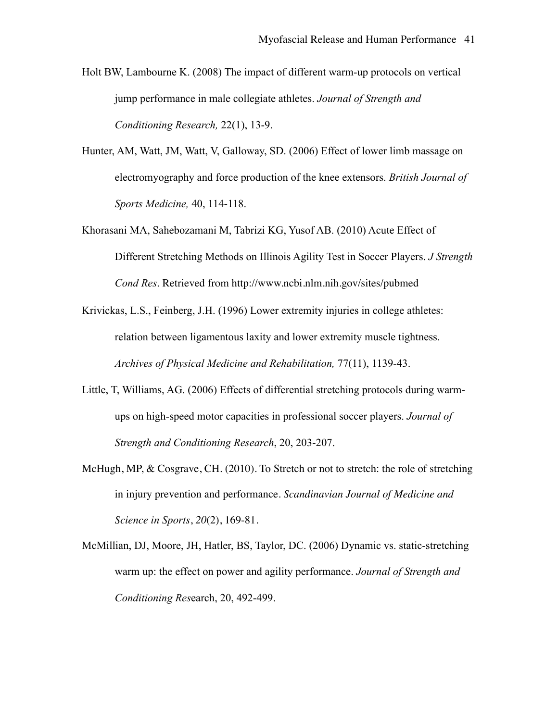- [Holt BW,](http://www.ncbi.nlm.nih.gov/sites/entrez?Db=pubmed&Cmd=Search&Term=%22Holt%20BW%22%5BAuthor%5D&itool=EntrezSystem2.PEntrez.Pubmed.Pubmed_ResultsPanel.Pubmed_DiscoveryPanel.Pubmed_RVAbstractPlus) [Lambourne K.](http://www.ncbi.nlm.nih.gov/sites/entrez?Db=pubmed&Cmd=Search&Term=%22Lambourne%20K%22%5BAuthor%5D&itool=EntrezSystem2.PEntrez.Pubmed.Pubmed_ResultsPanel.Pubmed_DiscoveryPanel.Pubmed_RVAbstractPlus) (2008) The impact of different warm-up protocols on vertical jump performance in male collegiate athletes. *Journal of Strength and Conditioning Research,* 22(1), 13-9.
- [Hunter, AM,](http://www.ncbi.nlm.nih.gov/sites/entrez?Db=pubmed&Cmd=Search&Term=%22Hunter%20AM%22%5BAuthor%5D&itool=EntrezSystem2.PEntrez.Pubmed.Pubmed_ResultsPanel.Pubmed_DiscoveryPanel.Pubmed_RVAbstractPlus) [Watt, JM,](http://www.ncbi.nlm.nih.gov/sites/entrez?Db=pubmed&Cmd=Search&Term=%22Watt%20JM%22%5BAuthor%5D&itool=EntrezSystem2.PEntrez.Pubmed.Pubmed_ResultsPanel.Pubmed_DiscoveryPanel.Pubmed_RVAbstractPlus) [Watt, V](http://www.ncbi.nlm.nih.gov/sites/entrez?Db=pubmed&Cmd=Search&Term=%22Watt%20V%22%5BAuthor%5D&itool=EntrezSystem2.PEntrez.Pubmed.Pubmed_ResultsPanel.Pubmed_DiscoveryPanel.Pubmed_RVAbstractPlus), [Galloway, SD](http://www.ncbi.nlm.nih.gov/sites/entrez?Db=pubmed&Cmd=Search&Term=%22Galloway%20SD%22%5BAuthor%5D&itool=EntrezSystem2.PEntrez.Pubmed.Pubmed_ResultsPanel.Pubmed_DiscoveryPanel.Pubmed_RVAbstractPlus). (2006) Effect of lower limb massage on electromyography and force production of the knee extensors. *British Journal of Sports Medicine,* 40, 114-118.
- [Khorasani MA,](http://www.ncbi.nlm.nih.gov/pubmed?term=%22Khorasani%20MA%22%5BAuthor%5D&itool=EntrezSystem2.PEntrez.Pubmed.Pubmed_ResultsPanel.Pubmed_RVAbstract) [Sahebozamani M](http://www.ncbi.nlm.nih.gov/pubmed?term=%22Sahebozamani%20M%22%5BAuthor%5D&itool=EntrezSystem2.PEntrez.Pubmed.Pubmed_ResultsPanel.Pubmed_RVAbstract), [Tabrizi KG](http://www.ncbi.nlm.nih.gov/pubmed?term=%22Tabrizi%20KG%22%5BAuthor%5D&itool=EntrezSystem2.PEntrez.Pubmed.Pubmed_ResultsPanel.Pubmed_RVAbstract), [Yusof AB.](http://www.ncbi.nlm.nih.gov/pubmed?term=%22Yusof%20AB%22%5BAuthor%5D&itool=EntrezSystem2.PEntrez.Pubmed.Pubmed_ResultsPanel.Pubmed_RVAbstract) (2010) Acute Effect of Different Stretching Methods on Illinois Agility Test in Soccer Players. *J Strength Cond Res*. Retrieved from http://www.ncbi.nlm.nih.gov/sites/pubmed
- Krivickas, L.S., Feinberg, J.H. (1996) Lower extremity injuries in college athletes: relation between ligamentous laxity and lower extremity muscle tightness. *Archives of Physical Medicine and Rehabilitation,* 77(11), 1139-43.
- [Little, T](http://www.ncbi.nlm.nih.gov/sites/entrez?Db=pubmed&Cmd=Search&Term=%22Little%20T%22%5BAuthor%5D&itool=EntrezSystem2.PEntrez.Pubmed.Pubmed_ResultsPanel.Pubmed_DiscoveryPanel.Pubmed_RVAbstractPlus), [Williams, AG](http://www.ncbi.nlm.nih.gov/sites/entrez?Db=pubmed&Cmd=Search&Term=%22Williams%20AG%22%5BAuthor%5D&itool=EntrezSystem2.PEntrez.Pubmed.Pubmed_ResultsPanel.Pubmed_DiscoveryPanel.Pubmed_RVAbstractPlus). (2006) Effects of differential stretching protocols during warmups on high-speed motor capacities in professional soccer players. *Journal of Strength and Conditioning Research*, 20, 203-207.
- McHugh, MP, & Cosgrave, CH. (2010). To Stretch or not to stretch: the role of stretching in injury prevention and performance. *Scandinavian Journal of Medicine and Science in Sports*, *20*(2), 169-81.
- [McMillian, DJ,](http://www.ncbi.nlm.nih.gov/sites/entrez?Db=pubmed&Cmd=Search&Term=%22McMillian%20DJ%22%5BAuthor%5D&itool=EntrezSystem2.PEntrez.Pubmed.Pubmed_ResultsPanel.Pubmed_DiscoveryPanel.Pubmed_RVAbstractPlus) [Moore, JH,](http://www.ncbi.nlm.nih.gov/sites/entrez?Db=pubmed&Cmd=Search&Term=%22Moore%20JH%22%5BAuthor%5D&itool=EntrezSystem2.PEntrez.Pubmed.Pubmed_ResultsPanel.Pubmed_DiscoveryPanel.Pubmed_RVAbstractPlus) [Hatler, BS](http://www.ncbi.nlm.nih.gov/sites/entrez?Db=pubmed&Cmd=Search&Term=%22Hatler%20BS%22%5BAuthor%5D&itool=EntrezSystem2.PEntrez.Pubmed.Pubmed_ResultsPanel.Pubmed_DiscoveryPanel.Pubmed_RVAbstractPlus), [Taylor, DC](http://www.ncbi.nlm.nih.gov/sites/entrez?Db=pubmed&Cmd=Search&Term=%22Taylor%20DC%22%5BAuthor%5D&itool=EntrezSystem2.PEntrez.Pubmed.Pubmed_ResultsPanel.Pubmed_DiscoveryPanel.Pubmed_RVAbstractPlus). (2006) Dynamic vs. static-stretching warm up: the effect on power and agility performance. *Journal of Strength and Conditioning Res*earch, 20, 492-499.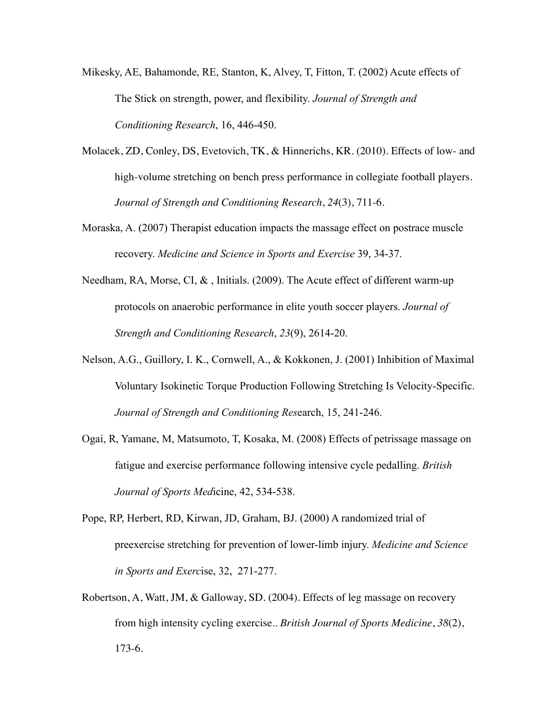- [Mikesky, AE,](http://www.ncbi.nlm.nih.gov/sites/entrez?Db=pubmed&Cmd=Search&Term=%22Mikesky%20AE%22%5BAuthor%5D&itool=EntrezSystem2.PEntrez.Pubmed.Pubmed_ResultsPanel.Pubmed_DiscoveryPanel.Pubmed_RVAbstractPlus) [Bahamonde, RE](http://www.ncbi.nlm.nih.gov/sites/entrez?Db=pubmed&Cmd=Search&Term=%22Bahamonde%20RE%22%5BAuthor%5D&itool=EntrezSystem2.PEntrez.Pubmed.Pubmed_ResultsPanel.Pubmed_DiscoveryPanel.Pubmed_RVAbstractPlus), [Stanton, K,](http://www.ncbi.nlm.nih.gov/sites/entrez?Db=pubmed&Cmd=Search&Term=%22Stanton%20K%22%5BAuthor%5D&itool=EntrezSystem2.PEntrez.Pubmed.Pubmed_ResultsPanel.Pubmed_DiscoveryPanel.Pubmed_RVAbstractPlus) [Alvey, T,](http://www.ncbi.nlm.nih.gov/sites/entrez?Db=pubmed&Cmd=Search&Term=%22Alvey%20T%22%5BAuthor%5D&itool=EntrezSystem2.PEntrez.Pubmed.Pubmed_ResultsPanel.Pubmed_DiscoveryPanel.Pubmed_RVAbstractPlus) [Fitton, T.](http://www.ncbi.nlm.nih.gov/sites/entrez?Db=pubmed&Cmd=Search&Term=%22Fitton%20T%22%5BAuthor%5D&itool=EntrezSystem2.PEntrez.Pubmed.Pubmed_ResultsPanel.Pubmed_DiscoveryPanel.Pubmed_RVAbstractPlus) (2002) Acute effects of The Stick on strength, power, and flexibility. *Journal of Strength and Conditioning Research*, 16, 446-450.
- Molacek, ZD, Conley, DS, Evetovich, TK, & Hinnerichs, KR. (2010). Effects of low- and high-volume stretching on bench press performance in collegiate football players. *Journal of Strength and Conditioning Research*, *24*(3), 711-6.
- [Moraska, A.](http://www.ncbi.nlm.nih.gov/sites/entrez?Db=pubmed&Cmd=Search&Term=%22Moraska%20A%22%5BAuthor%5D&itool=EntrezSystem2.PEntrez.Pubmed.Pubmed_ResultsPanel.Pubmed_DiscoveryPanel.Pubmed_RVAbstractPlus) (2007) Therapist education impacts the massage effect on postrace muscle recovery. *Medicine and Science in Sports and Exercise* 39, 34-37.
- Needham, RA, Morse, CI, &, Initials. (2009). The Acute effect of different warm-up protocols on anaerobic performance in elite youth soccer players. *Journal of Strength and Conditioning Research*, *23*(9), 2614-20.
- Nelson, A.G., Guillory, I. K., Cornwell, A., & Kokkonen, J. (2001) Inhibition of Maximal Voluntary Isokinetic Torque Production Following Stretching Is Velocity-Specific. *Journal of Strength and Conditioning Res*earch, 15, 241-246.
- [Ogai, R](http://www.ncbi.nlm.nih.gov/sites/entrez?Db=pubmed&Cmd=Search&Term=%22Ogai%20R%22%5BAuthor%5D&itool=EntrezSystem2.PEntrez.Pubmed.Pubmed_ResultsPanel.Pubmed_DiscoveryPanel.Pubmed_RVAbstractPlus), [Yamane, M](http://www.ncbi.nlm.nih.gov/sites/entrez?Db=pubmed&Cmd=Search&Term=%22Yamane%20M%22%5BAuthor%5D&itool=EntrezSystem2.PEntrez.Pubmed.Pubmed_ResultsPanel.Pubmed_DiscoveryPanel.Pubmed_RVAbstractPlus), [Matsumoto, T](http://www.ncbi.nlm.nih.gov/sites/entrez?Db=pubmed&Cmd=Search&Term=%22Matsumoto%20T%22%5BAuthor%5D&itool=EntrezSystem2.PEntrez.Pubmed.Pubmed_ResultsPanel.Pubmed_DiscoveryPanel.Pubmed_RVAbstractPlus), [Kosaka, M.](http://www.ncbi.nlm.nih.gov/sites/entrez?Db=pubmed&Cmd=Search&Term=%22Kosaka%20M%22%5BAuthor%5D&itool=EntrezSystem2.PEntrez.Pubmed.Pubmed_ResultsPanel.Pubmed_DiscoveryPanel.Pubmed_RVAbstractPlus) (2008) Effects of petrissage massage on fatigue and exercise performance following intensive cycle pedalling. *British Journal of Sports Med*icine, 42, 534-538.
- [Pope, RP](http://www.ncbi.nlm.nih.gov/sites/entrez?Db=pubmed&Cmd=Search&Term=%22Pope%20RP%22%5BAuthor%5D&itool=EntrezSystem2.PEntrez.Pubmed.Pubmed_ResultsPanel.Pubmed_DiscoveryPanel.Pubmed_RVAbstractPlus), [Herbert, RD,](http://www.ncbi.nlm.nih.gov/sites/entrez?Db=pubmed&Cmd=Search&Term=%22Herbert%20RD%22%5BAuthor%5D&itool=EntrezSystem2.PEntrez.Pubmed.Pubmed_ResultsPanel.Pubmed_DiscoveryPanel.Pubmed_RVAbstractPlus) [Kirwan, JD,](http://www.ncbi.nlm.nih.gov/sites/entrez?Db=pubmed&Cmd=Search&Term=%22Kirwan%20JD%22%5BAuthor%5D&itool=EntrezSystem2.PEntrez.Pubmed.Pubmed_ResultsPanel.Pubmed_DiscoveryPanel.Pubmed_RVAbstractPlus) [Graham, BJ](http://www.ncbi.nlm.nih.gov/sites/entrez?Db=pubmed&Cmd=Search&Term=%22Graham%20BJ%22%5BAuthor%5D&itool=EntrezSystem2.PEntrez.Pubmed.Pubmed_ResultsPanel.Pubmed_DiscoveryPanel.Pubmed_RVAbstractPlus). (2000) A randomized trial of preexercise stretching for prevention of lower-limb injury. *Medicine and Science in Sports and Exerc*ise, 32, 271-277.
- Robertson, A, Watt, JM, & Galloway, SD. (2004). Effects of leg massage on recovery from high intensity cycling exercise.. *British Journal of Sports Medicine*, *38*(2), 173-6.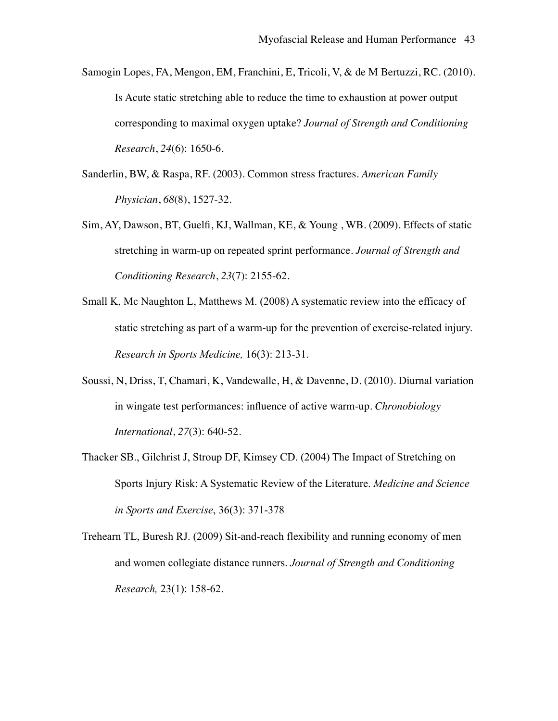Samogin Lopes, FA, Mengon, EM, Franchini, E, Tricoli, V, & de M Bertuzzi, RC. (2010). Is Acute static stretching able to reduce the time to exhaustion at power output corresponding to maximal oxygen uptake? *Journal of Strength and Conditioning Research*, *24*(6): 1650-6.

- Sanderlin, BW, & Raspa, RF. (2003). Common stress fractures. *American Family Physician*, *68*(8), 1527-32.
- Sim, AY, Dawson, BT, Guelfi, KJ, Wallman, KE, & Young , WB. (2009). Effects of static stretching in warm-up on repeated sprint performance. *Journal of Strength and Conditioning Research*, *23*(7): 2155-62.
- [Small K,](http://www.ncbi.nlm.nih.gov/pubmed?term=%22Small%20K%22%5BAuthor%5D&itool=EntrezSystem2.PEntrez.Pubmed.Pubmed_ResultsPanel.Pubmed_RVAbstract) [Mc Naughton L](http://www.ncbi.nlm.nih.gov/pubmed?term=%22Mc%20Naughton%20L%22%5BAuthor%5D&itool=EntrezSystem2.PEntrez.Pubmed.Pubmed_ResultsPanel.Pubmed_RVAbstract), [Matthews M](http://www.ncbi.nlm.nih.gov/pubmed?term=%22Matthews%20M%22%5BAuthor%5D&itool=EntrezSystem2.PEntrez.Pubmed.Pubmed_ResultsPanel.Pubmed_RVAbstract). (2008) A systematic review into the efficacy of static stretching as part of a warm-up for the prevention of exercise-related injury. *Research in Sports Medicine,* 16(3): 213-31.
- Soussi, N, Driss, T, Chamari, K, Vandewalle, H, & Davenne, D. (2010). Diurnal variation in wingate test performances: influence of active warm-up. *Chronobiology International*, *27*(3): 640-52.
- Thacker SB., Gilchrist J, Stroup DF, Kimsey CD. (2004) The Impact of Stretching on Sports Injury Risk: A Systematic Review of the Literature. *Medicine and Science in Sports and Exercise*, 36(3): 371-378
- [Trehearn TL](http://www.ncbi.nlm.nih.gov/pubmed?term=%22Trehearn%20TL%22%5BAuthor%5D&itool=EntrezSystem2.PEntrez.Pubmed.Pubmed_ResultsPanel.Pubmed_RVAbstract), [Buresh RJ.](http://www.ncbi.nlm.nih.gov/pubmed?term=%22Buresh%20RJ%22%5BAuthor%5D&itool=EntrezSystem2.PEntrez.Pubmed.Pubmed_ResultsPanel.Pubmed_RVAbstract) (2009) Sit-and-reach flexibility and running economy of men and women collegiate distance runners. *Journal of Strength and Conditioning Research,* 23(1): 158-62.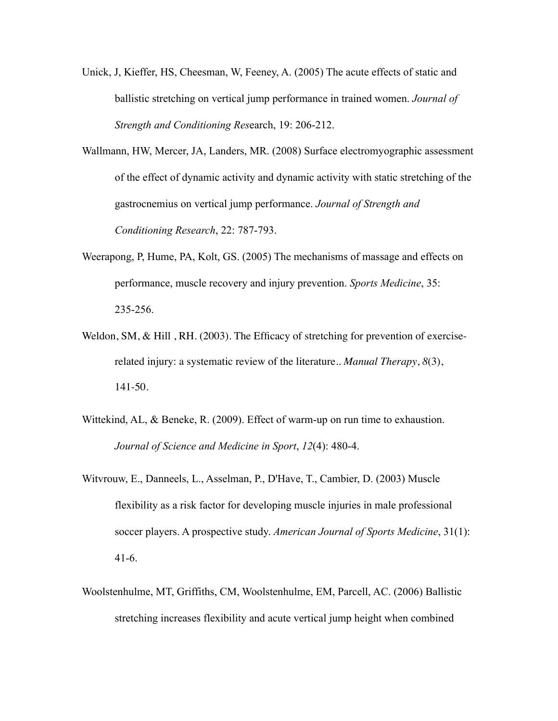- [Unick, J,](http://www.ncbi.nlm.nih.gov/sites/entrez?Db=pubmed&Cmd=Search&Term=%22Unick%20J%22%5BAuthor%5D&itool=EntrezSystem2.PEntrez.Pubmed.Pubmed_ResultsPanel.Pubmed_DiscoveryPanel.Pubmed_RVAbstractPlus) [Kieffer, HS](http://www.ncbi.nlm.nih.gov/sites/entrez?Db=pubmed&Cmd=Search&Term=%22Kieffer%20HS%22%5BAuthor%5D&itool=EntrezSystem2.PEntrez.Pubmed.Pubmed_ResultsPanel.Pubmed_DiscoveryPanel.Pubmed_RVAbstractPlus), [Cheesman, W](http://www.ncbi.nlm.nih.gov/sites/entrez?Db=pubmed&Cmd=Search&Term=%22Cheesman%20W%22%5BAuthor%5D&itool=EntrezSystem2.PEntrez.Pubmed.Pubmed_ResultsPanel.Pubmed_DiscoveryPanel.Pubmed_RVAbstractPlus), [Feeney, A](http://www.ncbi.nlm.nih.gov/sites/entrez?Db=pubmed&Cmd=Search&Term=%22Feeney%20A%22%5BAuthor%5D&itool=EntrezSystem2.PEntrez.Pubmed.Pubmed_ResultsPanel.Pubmed_DiscoveryPanel.Pubmed_RVAbstractPlus). (2005) The acute effects of static and ballistic stretching on vertical jump performance in trained women. *Journal of Strength and Conditioning Res*earch, 19: 206-212.
- [Wallmann, HW,](http://www.ncbi.nlm.nih.gov/sites/entrez?Db=pubmed&Cmd=Search&Term=%22Wallmann%20HW%22%5BAuthor%5D&itool=EntrezSystem2.PEntrez.Pubmed.Pubmed_ResultsPanel.Pubmed_DiscoveryPanel.Pubmed_RVAbstractPlus) [Mercer, JA](http://www.ncbi.nlm.nih.gov/sites/entrez?Db=pubmed&Cmd=Search&Term=%22Mercer%20JA%22%5BAuthor%5D&itool=EntrezSystem2.PEntrez.Pubmed.Pubmed_ResultsPanel.Pubmed_DiscoveryPanel.Pubmed_RVAbstractPlus), [Landers, MR.](http://www.ncbi.nlm.nih.gov/sites/entrez?Db=pubmed&Cmd=Search&Term=%22Landers%20MR%22%5BAuthor%5D&itool=EntrezSystem2.PEntrez.Pubmed.Pubmed_ResultsPanel.Pubmed_DiscoveryPanel.Pubmed_RVAbstractPlus) (2008) Surface electromyographic assessment of the effect of dynamic activity and dynamic activity with static stretching of the gastrocnemius on vertical jump performance. *Journal of Strength and Conditioning Research*, 22: 787-793.
- [Weerapong, P,](http://www.ncbi.nlm.nih.gov/sites/entrez?Db=pubmed&Cmd=Search&Term=%22Weerapong%20P%22%5BAuthor%5D&itool=EntrezSystem2.PEntrez.Pubmed.Pubmed_ResultsPanel.Pubmed_RVCitation) [Hume, PA](http://www.ncbi.nlm.nih.gov/sites/entrez?Db=pubmed&Cmd=Search&Term=%22Hume%20PA%22%5BAuthor%5D&itool=EntrezSystem2.PEntrez.Pubmed.Pubmed_ResultsPanel.Pubmed_RVCitation), [Kolt, GS.](http://www.ncbi.nlm.nih.gov/sites/entrez?Db=pubmed&Cmd=Search&Term=%22Kolt%20GS%22%5BAuthor%5D&itool=EntrezSystem2.PEntrez.Pubmed.Pubmed_ResultsPanel.Pubmed_RVCitation) (2005) The mechanisms of massage and effects on performance, muscle recovery and injury prevention. *Sports Medicine*, 35: 235-256.
- Weldon, SM, & Hill, RH. (2003). The Efficacy of stretching for prevention of exerciserelated injury: a systematic review of the literature.. *Manual Therapy*, *8*(3), 141-50.
- Wittekind, AL, & Beneke, R. (2009). Effect of warm-up on run time to exhaustion. *Journal of Science and Medicine in Sport*, *12*(4): 480-4.
- Witvrouw, E., Danneels, L., Asselman, P., D'Have, T., Cambier, D. (2003) Muscle flexibility as a risk factor for developing muscle injuries in male professional soccer players. A prospective study. *American Journal of Sports Medicine*, 31(1): 41-6.
- [Woolstenhulme, MT](http://www.ncbi.nlm.nih.gov/sites/entrez?Db=pubmed&Cmd=Search&Term=%22Woolstenhulme%20MT%22%5BAuthor%5D&itool=EntrezSystem2.PEntrez.Pubmed.Pubmed_ResultsPanel.Pubmed_DiscoveryPanel.Pubmed_RVAbstractPlus), [Griffiths, CM,](http://www.ncbi.nlm.nih.gov/sites/entrez?Db=pubmed&Cmd=Search&Term=%22Griffiths%20CM%22%5BAuthor%5D&itool=EntrezSystem2.PEntrez.Pubmed.Pubmed_ResultsPanel.Pubmed_DiscoveryPanel.Pubmed_RVAbstractPlus) [Woolstenhulme, EM,](http://www.ncbi.nlm.nih.gov/sites/entrez?Db=pubmed&Cmd=Search&Term=%22Woolstenhulme%20EM%22%5BAuthor%5D&itool=EntrezSystem2.PEntrez.Pubmed.Pubmed_ResultsPanel.Pubmed_DiscoveryPanel.Pubmed_RVAbstractPlus) [Parcell, AC](http://www.ncbi.nlm.nih.gov/sites/entrez?Db=pubmed&Cmd=Search&Term=%22Parcell%20AC%22%5BAuthor%5D&itool=EntrezSystem2.PEntrez.Pubmed.Pubmed_ResultsPanel.Pubmed_DiscoveryPanel.Pubmed_RVAbstractPlus). (2006) Ballistic stretching increases flexibility and acute vertical jump height when combined